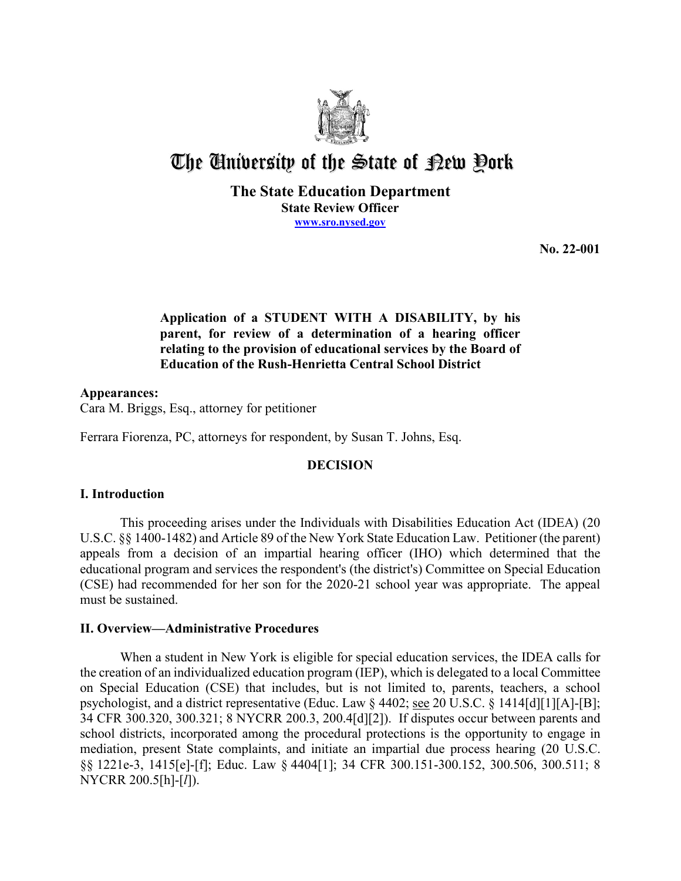

# The University of the State of Pew Pork

**The State Education Department State Review Officer [www.sro.nysed.gov](http://www.sro.nysed.gov/)** 

**No. 22-001** 

# **Application of a STUDENT WITH A DISABILITY, by his parent, for review of a determination of a hearing officer relating to the provision of educational services by the Board of Education of the Rush-Henrietta Central School District**

**Appearances:**  Cara M. Briggs, Esq., attorney for petitioner

Ferrara Fiorenza, PC, attorneys for respondent, by Susan T. Johns, Esq.

# **DECISION**

## **I. Introduction**

This proceeding arises under the Individuals with Disabilities Education Act (IDEA) (20 U.S.C. §§ 1400-1482) and Article 89 of the New York State Education Law. Petitioner (the parent) appeals from a decision of an impartial hearing officer (IHO) which determined that the educational program and services the respondent's (the district's) Committee on Special Education (CSE) had recommended for her son for the 2020-21 school year was appropriate. The appeal must be sustained.

## **II. Overview—Administrative Procedures**

 the creation of an individualized education program (IEP), which is delegated to a local Committee on Special Education (CSE) that includes, but is not limited to, parents, teachers, a school When a student in New York is eligible for special education services, the IDEA calls for psychologist, and a district representative (Educ. Law § 4402; see 20 U.S.C. § 1414[d][1][A]-[B]; 34 CFR 300.320, 300.321; 8 NYCRR 200.3, 200.4[d][2]). If disputes occur between parents and school districts, incorporated among the procedural protections is the opportunity to engage in mediation, present State complaints, and initiate an impartial due process hearing (20 U.S.C. §§ 1221e-3, 1415[e]-[f]; Educ. Law § 4404[1]; 34 CFR 300.151-300.152, 300.506, 300.511; 8 NYCRR 200.5[h]-[*l*]).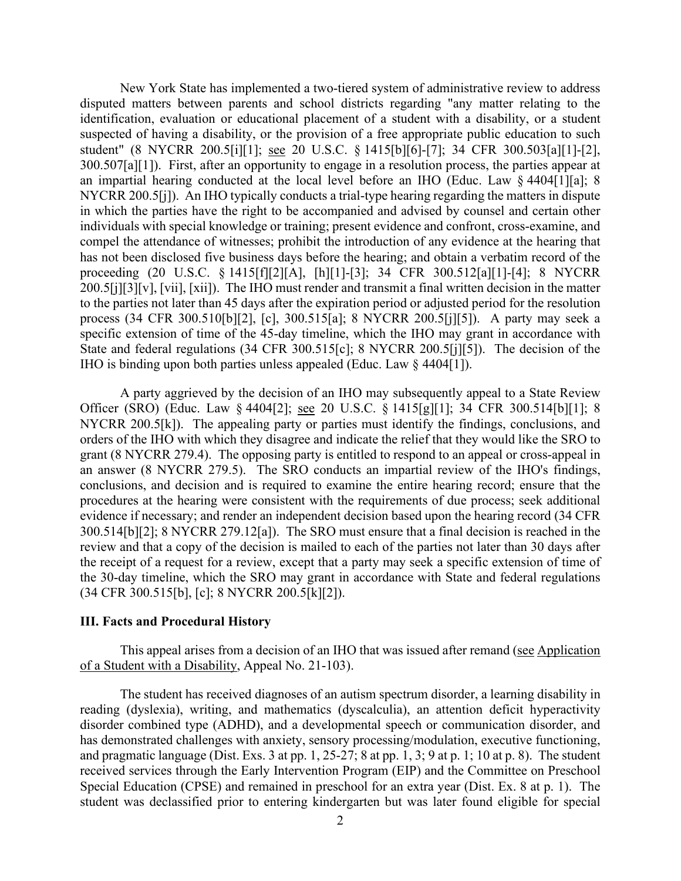disputed matters between parents and school districts regarding "any matter relating to the 300.507[a][1]). First, after an opportunity to engage in a resolution process, the parties appear at NYCRR 200.5[j]). An IHO typically conducts a trial-type hearing regarding the matters in dispute process (34 CFR 300.510[b][2], [c], 300.515[a]; 8 NYCRR 200.5[j][5]). A party may seek a IHO is binding upon both parties unless appealed (Educ. Law § 4404[1]). New York State has implemented a two-tiered system of administrative review to address identification, evaluation or educational placement of a student with a disability, or a student suspected of having a disability, or the provision of a free appropriate public education to such student" (8 NYCRR 200.5[i][1]; see 20 U.S.C. § 1415[b][6]-[7]; 34 CFR 300.503[a][1]-[2], an impartial hearing conducted at the local level before an IHO (Educ. Law § 4404[1][a]; 8 in which the parties have the right to be accompanied and advised by counsel and certain other individuals with special knowledge or training; present evidence and confront, cross-examine, and compel the attendance of witnesses; prohibit the introduction of any evidence at the hearing that has not been disclosed five business days before the hearing; and obtain a verbatim record of the proceeding (20 U.S.C. § 1415[f][2][A], [h][1]-[3]; 34 CFR 300.512[a][1]-[4]; 8 NYCRR 200.5[j][3][v], [vii], [xii]). The IHO must render and transmit a final written decision in the matter to the parties not later than 45 days after the expiration period or adjusted period for the resolution specific extension of time of the 45-day timeline, which the IHO may grant in accordance with State and federal regulations (34 CFR 300.515[c]; 8 NYCRR 200.5[j][5]). The decision of the

Officer (SRO) (Educ. Law § 4404[2]; <u>see</u> 20 U.S.C. § 1415[g][1]; 34 CFR 300.514[b][1]; 8 NYCRR 200.5[k]). The appealing party or parties must identify the findings, conclusions, and 300.514[b][2]; 8 NYCRR 279.12[a]). The SRO must ensure that a final decision is reached in the review and that a copy of the decision is mailed to each of the parties not later than 30 days after A party aggrieved by the decision of an IHO may subsequently appeal to a State Review orders of the IHO with which they disagree and indicate the relief that they would like the SRO to grant (8 NYCRR 279.4). The opposing party is entitled to respond to an appeal or cross-appeal in an answer (8 NYCRR 279.5). The SRO conducts an impartial review of the IHO's findings, conclusions, and decision and is required to examine the entire hearing record; ensure that the procedures at the hearing were consistent with the requirements of due process; seek additional evidence if necessary; and render an independent decision based upon the hearing record (34 CFR the receipt of a request for a review, except that a party may seek a specific extension of time of the 30-day timeline, which the SRO may grant in accordance with State and federal regulations (34 CFR 300.515[b], [c]; 8 NYCRR 200.5[k][2]).

#### **III. Facts and Procedural History**

This appeal arises from a decision of an IHO that was issued after remand (see Application of a Student with a Disability, Appeal No. 21-103).

 The student has received diagnoses of an autism spectrum disorder, a learning disability in has demonstrated challenges with anxiety, sensory processing/modulation, executive functioning, and pragmatic language (Dist. Exs. 3 at pp. 1, 25-27; 8 at pp. 1, 3; 9 at p. 1; 10 at p. 8). The student reading (dyslexia), writing, and mathematics (dyscalculia), an attention deficit hyperactivity disorder combined type (ADHD), and a developmental speech or communication disorder, and received services through the Early Intervention Program (EIP) and the Committee on Preschool Special Education (CPSE) and remained in preschool for an extra year (Dist. Ex. 8 at p. 1). The student was declassified prior to entering kindergarten but was later found eligible for special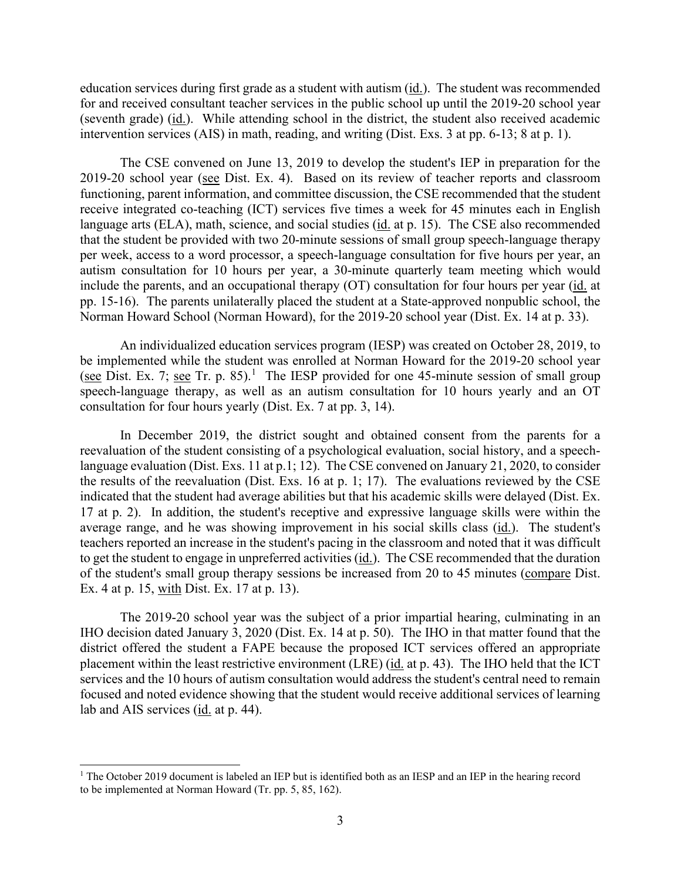education services during first grade as a student with autism (id.). The student was recommended for and received consultant teacher services in the public school up until the 2019-20 school year (seventh grade) (id.). While attending school in the district, the student also received academic intervention services (AIS) in math, reading, and writing (Dist. Exs. 3 at pp. 6-13; 8 at p. 1).

 autism consultation for 10 hours per year, a 30-minute quarterly team meeting which would The CSE convened on June 13, 2019 to develop the student's IEP in preparation for the 2019-20 school year (see Dist. Ex. 4). Based on its review of teacher reports and classroom functioning, parent information, and committee discussion, the CSE recommended that the student receive integrated co-teaching (ICT) services five times a week for 45 minutes each in English language arts (ELA), math, science, and social studies (id. at p. 15). The CSE also recommended that the student be provided with two 20-minute sessions of small group speech-language therapy per week, access to a word processor, a speech-language consultation for five hours per year, an include the parents, and an occupational therapy (OT) consultation for four hours per year (id. at pp. 15-16). The parents unilaterally placed the student at a State-approved nonpublic school, the Norman Howard School (Norman Howard), for the 2019-20 school year (Dist. Ex. 14 at p. 33).

 be implemented while the student was enrolled at Norman Howard for the 2019-20 school year (see Dist. Ex. 7; see Tr. p. 85).<sup>[1](#page-2-0)</sup> The IESP provided for one 45-minute session of small group speech-language therapy, as well as an autism consultation for 10 hours yearly and an OT An individualized education services program (IESP) was created on October 28, 2019, to consultation for four hours yearly (Dist. Ex. 7 at pp. 3, 14).

 In December 2019, the district sought and obtained consent from the parents for a 17 at p. 2). In addition, the student's receptive and expressive language skills were within the average range, and he was showing improvement in his social skills class (id.). The student's reevaluation of the student consisting of a psychological evaluation, social history, and a speechlanguage evaluation (Dist. Exs. 11 at p.1; 12). The CSE convened on January 21, 2020, to consider the results of the reevaluation (Dist. Exs. 16 at p. 1; 17). The evaluations reviewed by the CSE indicated that the student had average abilities but that his academic skills were delayed (Dist. Ex. teachers reported an increase in the student's pacing in the classroom and noted that it was difficult to get the student to engage in unpreferred activities (id.). The CSE recommended that the duration of the student's small group therapy sessions be increased from 20 to 45 minutes (compare Dist. Ex. 4 at p. 15, with Dist. Ex. 17 at p. 13).

 IHO decision dated January 3, 2020 (Dist. Ex. 14 at p. 50). The IHO in that matter found that the placement within the least restrictive environment (LRE) (id. at p. 43). The IHO held that the ICT lab and AIS services (*id.* at p. 44). The 2019-20 school year was the subject of a prior impartial hearing, culminating in an district offered the student a FAPE because the proposed ICT services offered an appropriate services and the 10 hours of autism consultation would address the student's central need to remain focused and noted evidence showing that the student would receive additional services of learning

<span id="page-2-0"></span> to be implemented at Norman Howard (Tr. pp. 5, 85, 162). <sup>1</sup> The October 2019 document is labeled an IEP but is identified both as an IESP and an IEP in the hearing record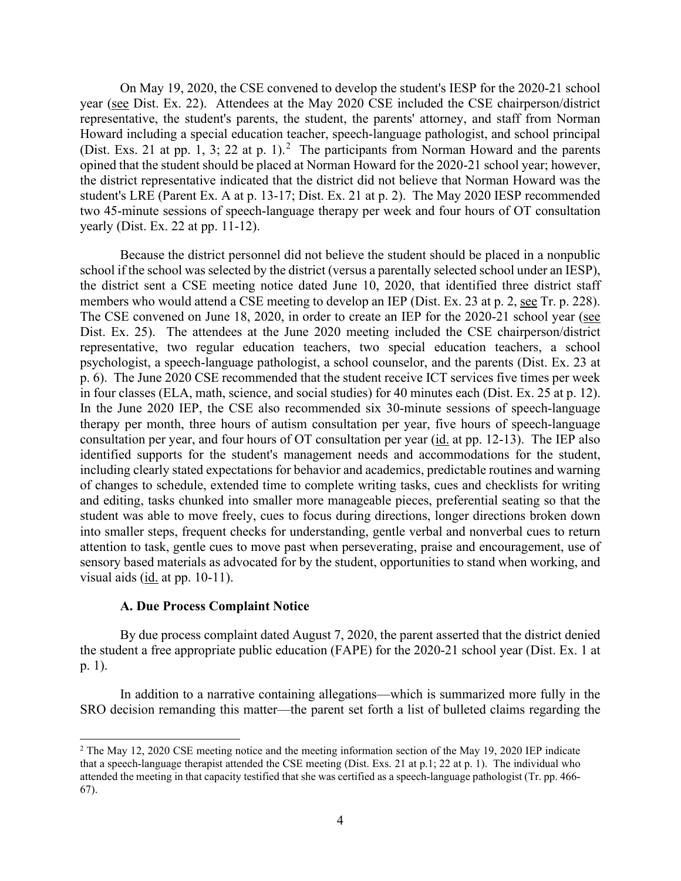(Dist. Exs. [2](#page-3-0)1 at pp. 1, 3; 22 at p. 1).<sup>2</sup> The participants from Norman Howard and the parents On May 19, 2020, the CSE convened to develop the student's IESP for the 2020-21 school year (see Dist. Ex. 22). Attendees at the May 2020 CSE included the CSE chairperson/district representative, the student's parents, the student, the parents' attorney, and staff from Norman Howard including a special education teacher, speech-language pathologist, and school principal opined that the student should be placed at Norman Howard for the 2020-21 school year; however, the district representative indicated that the district did not believe that Norman Howard was the student's LRE (Parent Ex. A at p. 13-17; Dist. Ex. 21 at p. 2). The May 2020 IESP recommended two 45-minute sessions of speech-language therapy per week and four hours of OT consultation yearly (Dist. Ex. 22 at pp. 11-12).

members who would attend a CSE meeting to develop an IEP (Dist. Ex. 23 at p. 2, see Tr. p. 228). in four classes (ELA, math, science, and social studies) for 40 minutes each (Dist. Ex. 25 at p. 12). consultation per year, and four hours of OT consultation per year (*id.* at pp. 12-13). The IEP also Because the district personnel did not believe the student should be placed in a nonpublic school if the school was selected by the district (versus a parentally selected school under an IESP), the district sent a CSE meeting notice dated June 10, 2020, that identified three district staff The CSE convened on June 18, 2020, in order to create an IEP for the 2020-21 school year (see Dist. Ex. 25). The attendees at the June 2020 meeting included the CSE chairperson/district representative, two regular education teachers, two special education teachers, a school psychologist, a speech-language pathologist, a school counselor, and the parents (Dist. Ex. 23 at p. 6). The June 2020 CSE recommended that the student receive ICT services five times per week In the June 2020 IEP, the CSE also recommended six 30-minute sessions of speech-language therapy per month, three hours of autism consultation per year, five hours of speech-language identified supports for the student's management needs and accommodations for the student, including clearly stated expectations for behavior and academics, predictable routines and warning of changes to schedule, extended time to complete writing tasks, cues and checklists for writing and editing, tasks chunked into smaller more manageable pieces, preferential seating so that the student was able to move freely, cues to focus during directions, longer directions broken down into smaller steps, frequent checks for understanding, gentle verbal and nonverbal cues to return attention to task, gentle cues to move past when perseverating, praise and encouragement, use of sensory based materials as advocated for by the student, opportunities to stand when working, and visual aids (id. at pp. 10-11).

#### **A. Due Process Complaint Notice**

By due process complaint dated August 7, 2020, the parent asserted that the district denied the student a free appropriate public education (FAPE) for the 2020-21 school year (Dist. Ex. 1 at p. 1).

In addition to a narrative containing allegations—which is summarized more fully in the SRO decision remanding this matter—the parent set forth a list of bulleted claims regarding the

<span id="page-3-0"></span> that a speech-language therapist attended the CSE meeting (Dist. Exs. 21 at p.1; 22 at p. 1). The individual who attended the meeting in that capacity testified that she was certified as a speech-language pathologist (Tr. pp. 466- <sup>2</sup> The May 12, 2020 CSE meeting notice and the meeting information section of the May 19, 2020 IEP indicate 67).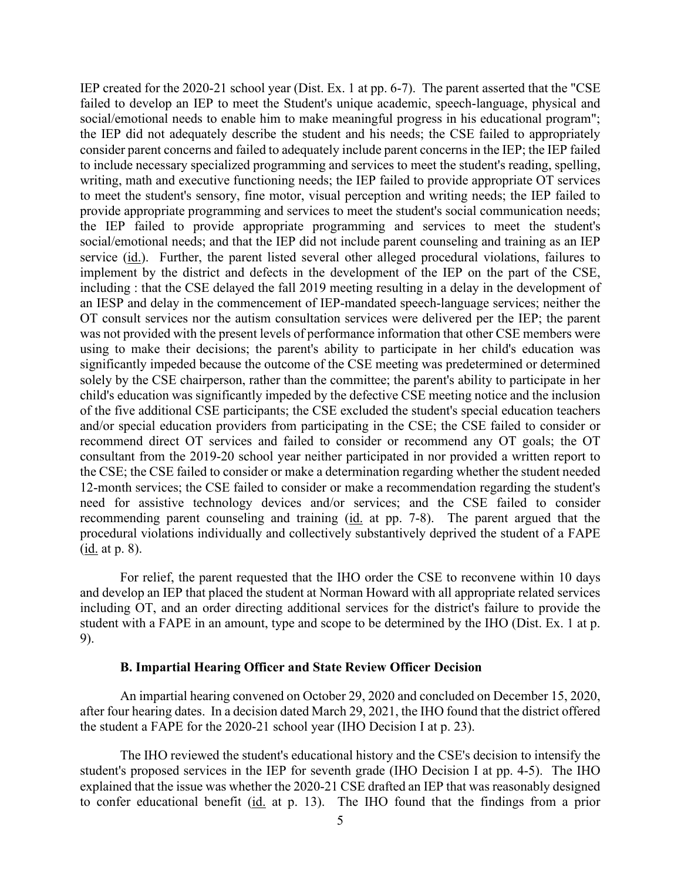to meet the student's sensory, fine motor, visual perception and writing needs; the IEP failed to (<u>id.</u> at p. 8). IEP created for the 2020-21 school year (Dist. Ex. 1 at pp. 6-7). The parent asserted that the "CSE failed to develop an IEP to meet the Student's unique academic, speech-language, physical and social/emotional needs to enable him to make meaningful progress in his educational program"; the IEP did not adequately describe the student and his needs; the CSE failed to appropriately consider parent concerns and failed to adequately include parent concerns in the IEP; the IEP failed to include necessary specialized programming and services to meet the student's reading, spelling, writing, math and executive functioning needs; the IEP failed to provide appropriate OT services provide appropriate programming and services to meet the student's social communication needs; the IEP failed to provide appropriate programming and services to meet the student's social/emotional needs; and that the IEP did not include parent counseling and training as an IEP service (id.). Further, the parent listed several other alleged procedural violations, failures to implement by the district and defects in the development of the IEP on the part of the CSE, including : that the CSE delayed the fall 2019 meeting resulting in a delay in the development of an IESP and delay in the commencement of IEP-mandated speech-language services; neither the OT consult services nor the autism consultation services were delivered per the IEP; the parent was not provided with the present levels of performance information that other CSE members were using to make their decisions; the parent's ability to participate in her child's education was significantly impeded because the outcome of the CSE meeting was predetermined or determined solely by the CSE chairperson, rather than the committee; the parent's ability to participate in her child's education was significantly impeded by the defective CSE meeting notice and the inclusion of the five additional CSE participants; the CSE excluded the student's special education teachers and/or special education providers from participating in the CSE; the CSE failed to consider or recommend direct OT services and failed to consider or recommend any OT goals; the OT consultant from the 2019-20 school year neither participated in nor provided a written report to the CSE; the CSE failed to consider or make a determination regarding whether the student needed 12-month services; the CSE failed to consider or make a recommendation regarding the student's need for assistive technology devices and/or services; and the CSE failed to consider recommending parent counseling and training (id. at pp. 7-8). The parent argued that the procedural violations individually and collectively substantively deprived the student of a FAPE

For relief, the parent requested that the IHO order the CSE to reconvene within 10 days and develop an IEP that placed the student at Norman Howard with all appropriate related services including OT, and an order directing additional services for the district's failure to provide the student with a FAPE in an amount, type and scope to be determined by the IHO (Dist. Ex. 1 at p. 9).

#### **B. Impartial Hearing Officer and State Review Officer Decision**

An impartial hearing convened on October 29, 2020 and concluded on December 15, 2020, after four hearing dates. In a decision dated March 29, 2021, the IHO found that the district offered the student a FAPE for the 2020-21 school year (IHO Decision I at p. 23).

 student's proposed services in the IEP for seventh grade (IHO Decision I at pp. 4-5). The IHO to confer educational benefit (id. at p. 13). The IHO found that the findings from a prior The IHO reviewed the student's educational history and the CSE's decision to intensify the explained that the issue was whether the 2020-21 CSE drafted an IEP that was reasonably designed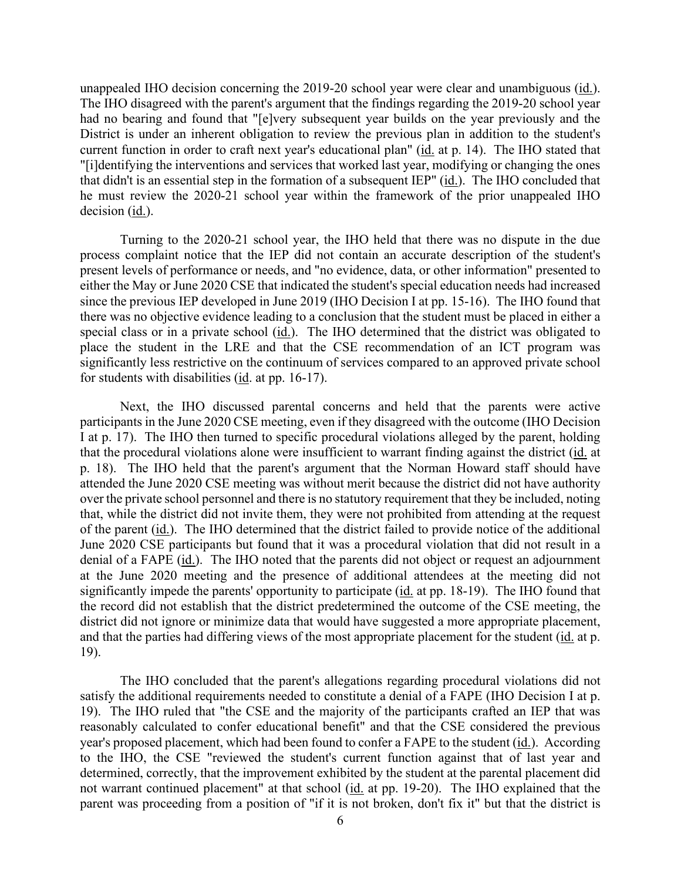unappealed IHO decision concerning the 2019-20 school year were clear and unambiguous (id.). current function in order to craft next year's educational plan" (id. at p. 14). The IHO stated that that didn't is an essential step in the formation of a subsequent IEP" (id.). The IHO concluded that he must review the 2020-21 school year within the framework of the prior unappealed IHO The IHO disagreed with the parent's argument that the findings regarding the 2019-20 school year had no bearing and found that "[e]very subsequent year builds on the year previously and the District is under an inherent obligation to review the previous plan in addition to the student's "[i]dentifying the interventions and services that worked last year, modifying or changing the ones decision (id.).

 since the previous IEP developed in June 2019 (IHO Decision I at pp. 15-16). The IHO found that special class or in a private school (*id.*). The IHO determined that the district was obligated to place the student in the LRE and that the CSE recommendation of an ICT program was Turning to the 2020-21 school year, the IHO held that there was no dispute in the due process complaint notice that the IEP did not contain an accurate description of the student's present levels of performance or needs, and "no evidence, data, or other information" presented to either the May or June 2020 CSE that indicated the student's special education needs had increased there was no objective evidence leading to a conclusion that the student must be placed in either a significantly less restrictive on the continuum of services compared to an approved private school for students with disabilities  $(id. at pp. 16-17)$ .

of the parent (*id.*). The IHO determined that the district failed to provide notice of the additional denial of a FAPE (id.). The IHO noted that the parents did not object or request an adjournment significantly impede the parents' opportunity to participate (*id.* at pp. 18-19). The IHO found that Next, the IHO discussed parental concerns and held that the parents were active participants in the June 2020 CSE meeting, even if they disagreed with the outcome (IHO Decision I at p. 17). The IHO then turned to specific procedural violations alleged by the parent, holding that the procedural violations alone were insufficient to warrant finding against the district (id. at p. 18). The IHO held that the parent's argument that the Norman Howard staff should have attended the June 2020 CSE meeting was without merit because the district did not have authority over the private school personnel and there is no statutory requirement that they be included, noting that, while the district did not invite them, they were not prohibited from attending at the request June 2020 CSE participants but found that it was a procedural violation that did not result in a at the June 2020 meeting and the presence of additional attendees at the meeting did not the record did not establish that the district predetermined the outcome of the CSE meeting, the district did not ignore or minimize data that would have suggested a more appropriate placement, and that the parties had differing views of the most appropriate placement for the student (id. at p. 19).

 19). The IHO ruled that "the CSE and the majority of the participants crafted an IEP that was The IHO concluded that the parent's allegations regarding procedural violations did not satisfy the additional requirements needed to constitute a denial of a FAPE (IHO Decision I at p. reasonably calculated to confer educational benefit" and that the CSE considered the previous year's proposed placement, which had been found to confer a FAPE to the student (id.). According to the IHO, the CSE "reviewed the student's current function against that of last year and determined, correctly, that the improvement exhibited by the student at the parental placement did not warrant continued placement" at that school (id. at pp. 19-20). The IHO explained that the parent was proceeding from a position of "if it is not broken, don't fix it" but that the district is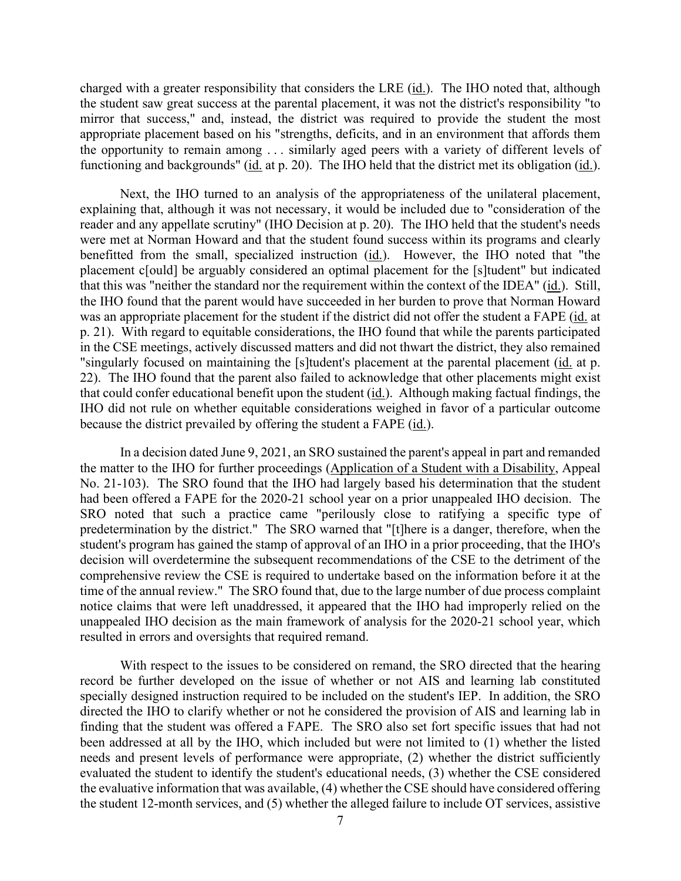charged with a greater responsibility that considers the LRE (*id.*). The IHO noted that, although mirror that success," and, instead, the district was required to provide the student the most the opportunity to remain among . . . similarly aged peers with a variety of different levels of functioning and backgrounds" (id. at p. 20). The IHO held that the district met its obligation (id.). the student saw great success at the parental placement, it was not the district's responsibility "to appropriate placement based on his "strengths, deficits, and in an environment that affords them

 reader and any appellate scrutiny" (IHO Decision at p. 20). The IHO held that the student's needs the IHO found that the parent would have succeeded in her burden to prove that Norman Howard p. 21). With regard to equitable considerations, the IHO found that while the parents participated IHO did not rule on whether equitable considerations weighed in favor of a particular outcome Next, the IHO turned to an analysis of the appropriateness of the unilateral placement, explaining that, although it was not necessary, it would be included due to "consideration of the were met at Norman Howard and that the student found success within its programs and clearly benefitted from the small, specialized instruction (id.). However, the IHO noted that "the placement c[ould] be arguably considered an optimal placement for the [s]tudent" but indicated that this was "neither the standard nor the requirement within the context of the IDEA" (id.). Still, was an appropriate placement for the student if the district did not offer the student a FAPE (id. at in the CSE meetings, actively discussed matters and did not thwart the district, they also remained "singularly focused on maintaining the [s]tudent's placement at the parental placement (id. at p. 22). The IHO found that the parent also failed to acknowledge that other placements might exist that could confer educational benefit upon the student (id.). Although making factual findings, the because the district prevailed by offering the student a FAPE (id.).

 No. 21-103). The SRO found that the IHO had largely based his determination that the student student's program has gained the stamp of approval of an IHO in a prior proceeding, that the IHO's time of the annual review." The SRO found that, due to the large number of due process complaint In a decision dated June 9, 2021, an SRO sustained the parent's appeal in part and remanded the matter to the IHO for further proceedings (Application of a Student with a Disability, Appeal had been offered a FAPE for the 2020-21 school year on a prior unappealed IHO decision. The SRO noted that such a practice came "perilously close to ratifying a specific type of predetermination by the district." The SRO warned that "[t]here is a danger, therefore, when the decision will overdetermine the subsequent recommendations of the CSE to the detriment of the comprehensive review the CSE is required to undertake based on the information before it at the notice claims that were left unaddressed, it appeared that the IHO had improperly relied on the unappealed IHO decision as the main framework of analysis for the 2020-21 school year, which resulted in errors and oversights that required remand.

 the student 12-month services, and (5) whether the alleged failure to include OT services, assistive With respect to the issues to be considered on remand, the SRO directed that the hearing record be further developed on the issue of whether or not AIS and learning lab constituted specially designed instruction required to be included on the student's IEP. In addition, the SRO directed the IHO to clarify whether or not he considered the provision of AIS and learning lab in finding that the student was offered a FAPE. The SRO also set fort specific issues that had not been addressed at all by the IHO, which included but were not limited to (1) whether the listed needs and present levels of performance were appropriate, (2) whether the district sufficiently evaluated the student to identify the student's educational needs, (3) whether the CSE considered the evaluative information that was available, (4) whether the CSE should have considered offering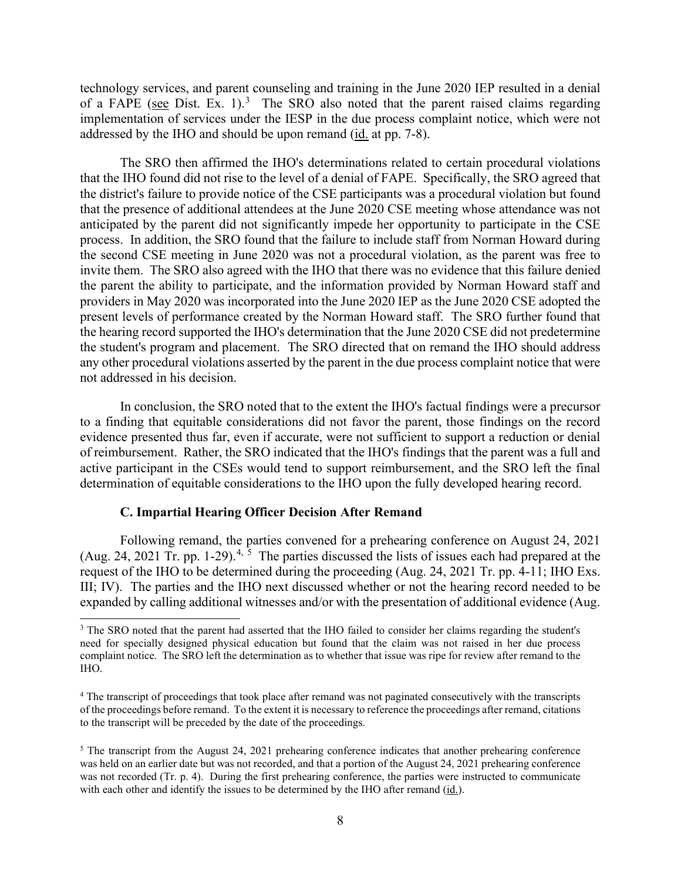technology services, and parent counseling and training in the June 2020 IEP resulted in a denial of a FAPE (see Dist. Ex. 1).<sup>3</sup> The SRO also noted that the parent raised claims regarding addressed by the IHO and should be upon remand (id. at pp. 7-8). implementation of services under the IESP in the due process complaint notice, which were not

 that the IHO found did not rise to the level of a denial of FAPE. Specifically, the SRO agreed that the district's failure to provide notice of the CSE participants was a procedural violation but found anticipated by the parent did not significantly impede her opportunity to participate in the CSE the second CSE meeting in June 2020 was not a procedural violation, as the parent was free to providers in May 2020 was incorporated into the June 2020 IEP as the June 2020 CSE adopted the the student's program and placement. The SRO directed that on remand the IHO should address The SRO then affirmed the IHO's determinations related to certain procedural violations that the presence of additional attendees at the June 2020 CSE meeting whose attendance was not process. In addition, the SRO found that the failure to include staff from Norman Howard during invite them. The SRO also agreed with the IHO that there was no evidence that this failure denied the parent the ability to participate, and the information provided by Norman Howard staff and present levels of performance created by the Norman Howard staff. The SRO further found that the hearing record supported the IHO's determination that the June 2020 CSE did not predetermine any other procedural violations asserted by the parent in the due process complaint notice that were not addressed in his decision.

 In conclusion, the SRO noted that to the extent the IHO's factual findings were a precursor to a finding that equitable considerations did not favor the parent, those findings on the record of reimbursement. Rather, the SRO indicated that the IHO's findings that the parent was a full and active participant in the CSEs would tend to support reimbursement, and the SRO left the final evidence presented thus far, even if accurate, were not sufficient to support a reduction or denial determination of equitable considerations to the IHO upon the fully developed hearing record.

#### **C. Impartial Hearing Officer Decision After Remand**

(Aug. 2[4,](#page-7-1) 2021 Tr. pp. 1-29).<sup>4, [5](#page-7-2)</sup> The parties discussed the lists of issues each had prepared at the request of the IHO to be determined during the proceeding (Aug. 24, 2021 Tr. pp. 4-11; IHO Exs. III; IV). The parties and the IHO next discussed whether or not the hearing record needed to be Following remand, the parties convened for a prehearing conference on August 24, 2021 expanded by calling additional witnesses and/or with the presentation of additional evidence (Aug.

<span id="page-7-0"></span> need for specially designed physical education but found that the claim was not raised in her due process complaint notice. The SRO left the determination as to whether that issue was ripe for review after remand to the <sup>3</sup> The SRO noted that the parent had asserted that the IHO failed to consider her claims regarding the student's IHO.

<span id="page-7-1"></span><sup>&</sup>lt;sup>4</sup> The transcript of proceedings that took place after remand was not paginated consecutively with the transcripts of the proceedings before remand. To the extent it is necessary to reference the proceedings after remand, citations to the transcript will be preceded by the date of the proceedings.

<span id="page-7-2"></span>was not recorded (Tr. p. 4). During the first prehearing conference, the parties were instructed to communicate <sup>5</sup> The transcript from the August 24, 2021 prehearing conference indicates that another prehearing conference was held on an earlier date but was not recorded, and that a portion of the August 24, 2021 prehearing conference with each other and identify the issues to be determined by the IHO after remand (id.).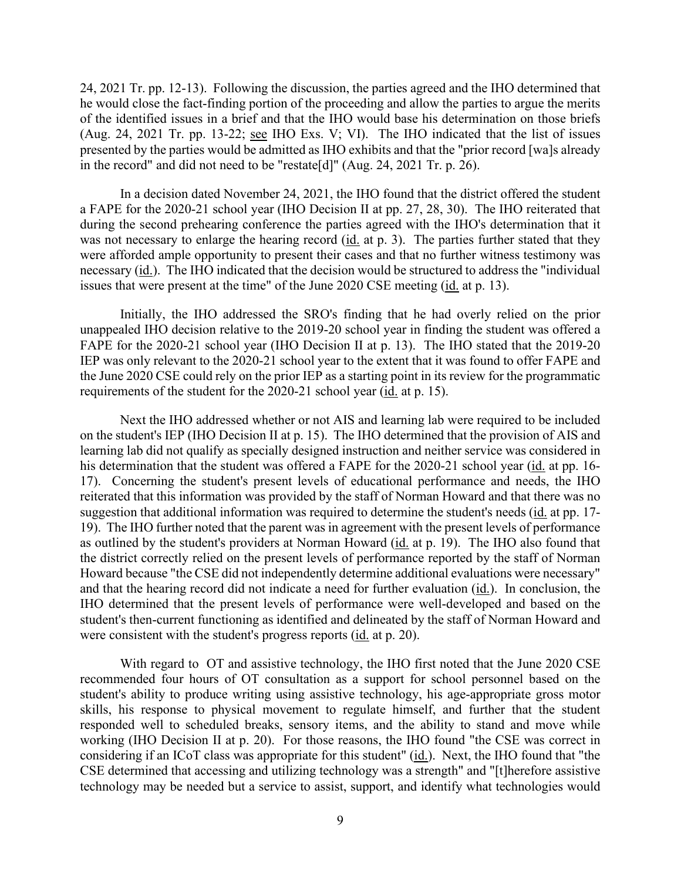24, 2021 Tr. pp. 12-13). Following the discussion, the parties agreed and the IHO determined that he would close the fact-finding portion of the proceeding and allow the parties to argue the merits of the identified issues in a brief and that the IHO would base his determination on those briefs (Aug. 24, 2021 Tr. pp. 13-22; see IHO Exs. V; VI). The IHO indicated that the list of issues presented by the parties would be admitted as IHO exhibits and that the "prior record [wa]s already in the record" and did not need to be "restate[d]" (Aug. 24, 2021 Tr. p. 26).

necessary (id.). The IHO indicated that the decision would be structured to address the "individual issues that were present at the time" of the June 2020 CSE meeting (*id.* at p. 13). In a decision dated November 24, 2021, the IHO found that the district offered the student a FAPE for the 2020-21 school year (IHO Decision II at pp. 27, 28, 30). The IHO reiterated that during the second prehearing conference the parties agreed with the IHO's determination that it was not necessary to enlarge the hearing record (id. at p. 3). The parties further stated that they were afforded ample opportunity to present their cases and that no further witness testimony was

requirements of the student for the 2020-21 school year (*id.* at p. 15). Initially, the IHO addressed the SRO's finding that he had overly relied on the prior unappealed IHO decision relative to the 2019-20 school year in finding the student was offered a FAPE for the 2020-21 school year (IHO Decision II at p. 13). The IHO stated that the 2019-20 IEP was only relevant to the 2020-21 school year to the extent that it was found to offer FAPE and the June 2020 CSE could rely on the prior IEP as a starting point in its review for the programmatic

 Next the IHO addressed whether or not AIS and learning lab were required to be included learning lab did not qualify as specially designed instruction and neither service was considered in his determination that the student was offered a FAPE for the 2020-21 school year (id. at pp. 16- 17). Concerning the student's present levels of educational performance and needs, the IHO were consistent with the student's progress reports (*id.* at p. 20). on the student's IEP (IHO Decision II at p. 15). The IHO determined that the provision of AIS and reiterated that this information was provided by the staff of Norman Howard and that there was no suggestion that additional information was required to determine the student's needs (id. at pp. 17-19). The IHO further noted that the parent was in agreement with the present levels of performance as outlined by the student's providers at Norman Howard (id. at p. 19). The IHO also found that the district correctly relied on the present levels of performance reported by the staff of Norman Howard because "the CSE did not independently determine additional evaluations were necessary" and that the hearing record did not indicate a need for further evaluation (id.). In conclusion, the IHO determined that the present levels of performance were well-developed and based on the student's then-current functioning as identified and delineated by the staff of Norman Howard and

considering if an ICoT class was appropriate for this student" (id.). Next, the IHO found that "the With regard to OT and assistive technology, the IHO first noted that the June 2020 CSE recommended four hours of OT consultation as a support for school personnel based on the student's ability to produce writing using assistive technology, his age-appropriate gross motor skills, his response to physical movement to regulate himself, and further that the student responded well to scheduled breaks, sensory items, and the ability to stand and move while working (IHO Decision II at p. 20). For those reasons, the IHO found "the CSE was correct in CSE determined that accessing and utilizing technology was a strength" and "[t]herefore assistive technology may be needed but a service to assist, support, and identify what technologies would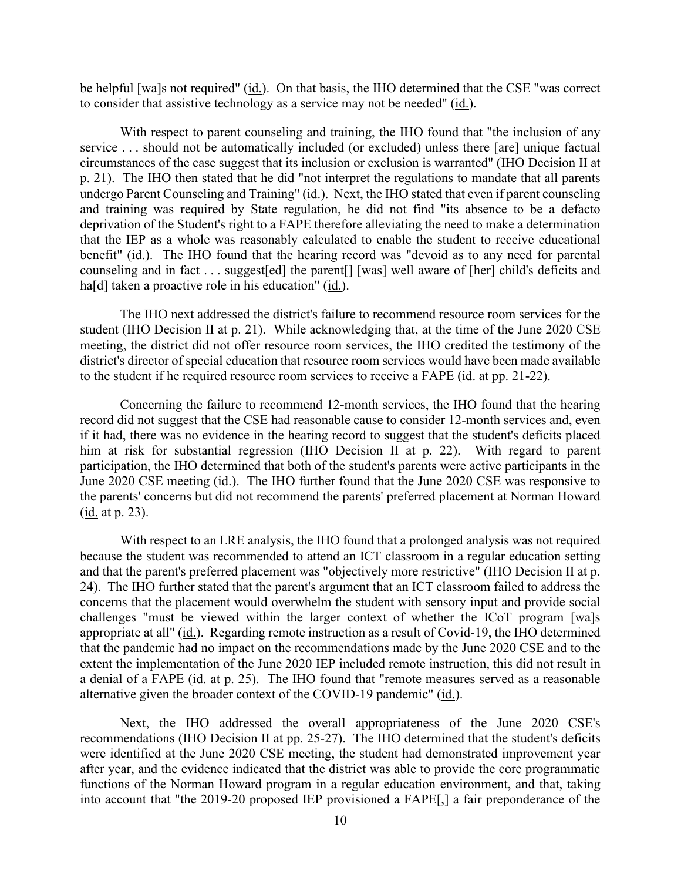be helpful [wa]s not required"  $(id)$ . On that basis, the IHO determined that the CSE "was correct to consider that assistive technology as a service may not be needed" (id.).

 With respect to parent counseling and training, the IHO found that "the inclusion of any service . . . should not be automatically included (or excluded) unless there [are] unique factual p. 21). The IHO then stated that he did "not interpret the regulations to mandate that all parents benefit" (id.). The IHO found that the hearing record was "devoid as to any need for parental counseling and in fact . . . suggest[ed] the parent[] [was] well aware of [her] child's deficits and circumstances of the case suggest that its inclusion or exclusion is warranted" (IHO Decision II at undergo Parent Counseling and Training" (id.). Next, the IHO stated that even if parent counseling and training was required by State regulation, he did not find "its absence to be a defacto deprivation of the Student's right to a FAPE therefore alleviating the need to make a determination that the IEP as a whole was reasonably calculated to enable the student to receive educational ha<sup>[d]</sup> taken a proactive role in his education" (id.).

The IHO next addressed the district's failure to recommend resource room services for the student (IHO Decision II at p. 21). While acknowledging that, at the time of the June 2020 CSE meeting, the district did not offer resource room services, the IHO credited the testimony of the district's director of special education that resource room services would have been made available to the student if he required resource room services to receive a FAPE (id. at pp. 21-22).

 record did not suggest that the CSE had reasonable cause to consider 12-month services and, even June 2020 CSE meeting (id.). The IHO further found that the June 2020 CSE was responsive to (<u>id.</u> at p. 23). Concerning the failure to recommend 12-month services, the IHO found that the hearing if it had, there was no evidence in the hearing record to suggest that the student's deficits placed him at risk for substantial regression (IHO Decision II at p. 22). With regard to parent participation, the IHO determined that both of the student's parents were active participants in the the parents' concerns but did not recommend the parents' preferred placement at Norman Howard

 challenges "must be viewed within the larger context of whether the ICoT program [wa]s extent the implementation of the June 2020 IEP included remote instruction, this did not result in a denial of a FAPE (id. at p. 25). The IHO found that "remote measures served as a reasonable With respect to an LRE analysis, the IHO found that a prolonged analysis was not required because the student was recommended to attend an ICT classroom in a regular education setting and that the parent's preferred placement was "objectively more restrictive" (IHO Decision II at p. 24). The IHO further stated that the parent's argument that an ICT classroom failed to address the concerns that the placement would overwhelm the student with sensory input and provide social appropriate at all" (id.). Regarding remote instruction as a result of Covid-19, the IHO determined that the pandemic had no impact on the recommendations made by the June 2020 CSE and to the alternative given the broader context of the COVID-19 pandemic" (id.).

Next, the IHO addressed the overall appropriateness of the June 2020 CSE's recommendations (IHO Decision II at pp. 25-27). The IHO determined that the student's deficits were identified at the June 2020 CSE meeting, the student had demonstrated improvement year after year, and the evidence indicated that the district was able to provide the core programmatic functions of the Norman Howard program in a regular education environment, and that, taking into account that "the 2019-20 proposed IEP provisioned a FAPE[,] a fair preponderance of the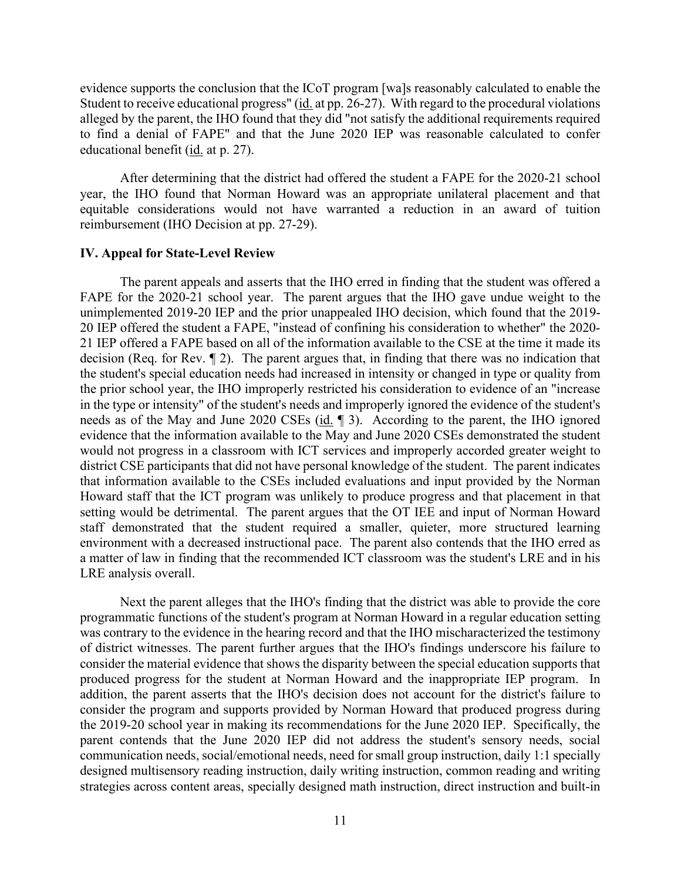educational benefit (*id.* at p. 27). evidence supports the conclusion that the ICoT program [wa]s reasonably calculated to enable the Student to receive educational progress" (id. at pp. 26-27). With regard to the procedural violations alleged by the parent, the IHO found that they did "not satisfy the additional requirements required to find a denial of FAPE" and that the June 2020 IEP was reasonable calculated to confer

 equitable considerations would not have warranted a reduction in an award of tuition After determining that the district had offered the student a FAPE for the 2020-21 school year, the IHO found that Norman Howard was an appropriate unilateral placement and that reimbursement (IHO Decision at pp. 27-29).

#### **IV. Appeal for State-Level Review**

 21 IEP offered a FAPE based on all of the information available to the CSE at the time it made its needs as of the May and June 2020 CSEs (id. 1). According to the parent, the IHO ignored setting would be detrimental. The parent argues that the OT IEE and input of Norman Howard LRE analysis overall. The parent appeals and asserts that the IHO erred in finding that the student was offered a FAPE for the 2020-21 school year. The parent argues that the IHO gave undue weight to the unimplemented 2019-20 IEP and the prior unappealed IHO decision, which found that the 2019- 20 IEP offered the student a FAPE, "instead of confining his consideration to whether" the 2020 decision (Req. for Rev. ¶ 2). The parent argues that, in finding that there was no indication that the student's special education needs had increased in intensity or changed in type or quality from the prior school year, the IHO improperly restricted his consideration to evidence of an "increase in the type or intensity" of the student's needs and improperly ignored the evidence of the student's evidence that the information available to the May and June 2020 CSEs demonstrated the student would not progress in a classroom with ICT services and improperly accorded greater weight to district CSE participants that did not have personal knowledge of the student. The parent indicates that information available to the CSEs included evaluations and input provided by the Norman Howard staff that the ICT program was unlikely to produce progress and that placement in that staff demonstrated that the student required a smaller, quieter, more structured learning environment with a decreased instructional pace. The parent also contends that the IHO erred as a matter of law in finding that the recommended ICT classroom was the student's LRE and in his

 of district witnesses. The parent further argues that the IHO's findings underscore his failure to strategies across content areas, specially designed math instruction, direct instruction and built-in Next the parent alleges that the IHO's finding that the district was able to provide the core programmatic functions of the student's program at Norman Howard in a regular education setting was contrary to the evidence in the hearing record and that the IHO mischaracterized the testimony consider the material evidence that shows the disparity between the special education supports that produced progress for the student at Norman Howard and the inappropriate IEP program. In addition, the parent asserts that the IHO's decision does not account for the district's failure to consider the program and supports provided by Norman Howard that produced progress during the 2019-20 school year in making its recommendations for the June 2020 IEP. Specifically, the parent contends that the June 2020 IEP did not address the student's sensory needs, social communication needs, social/emotional needs, need for small group instruction, daily 1:1 specially designed multisensory reading instruction, daily writing instruction, common reading and writing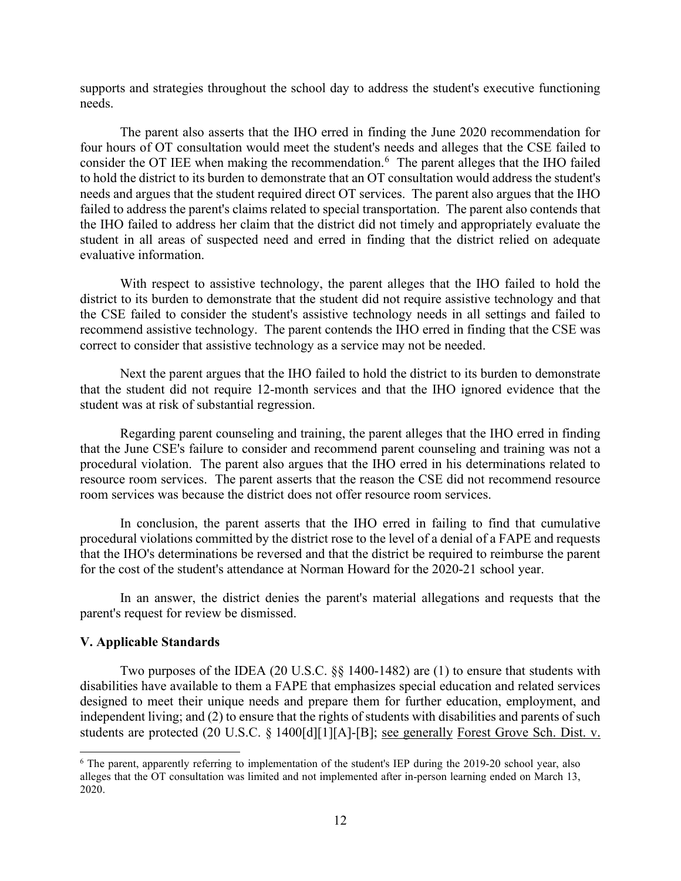supports and strategies throughout the school day to address the student's executive functioning needs.

consider the OT IEE when making the recommendation.<sup>[6](#page-11-0)</sup> The parent alleges that the IHO failed the IHO failed to address her claim that the district did not timely and appropriately evaluate the The parent also asserts that the IHO erred in finding the June 2020 recommendation for four hours of OT consultation would meet the student's needs and alleges that the CSE failed to to hold the district to its burden to demonstrate that an OT consultation would address the student's needs and argues that the student required direct OT services. The parent also argues that the IHO failed to address the parent's claims related to special transportation. The parent also contends that student in all areas of suspected need and erred in finding that the district relied on adequate evaluative information.

 recommend assistive technology. The parent contends the IHO erred in finding that the CSE was With respect to assistive technology, the parent alleges that the IHO failed to hold the district to its burden to demonstrate that the student did not require assistive technology and that the CSE failed to consider the student's assistive technology needs in all settings and failed to correct to consider that assistive technology as a service may not be needed.

 Next the parent argues that the IHO failed to hold the district to its burden to demonstrate that the student did not require 12-month services and that the IHO ignored evidence that the student was at risk of substantial regression.

 procedural violation. The parent also argues that the IHO erred in his determinations related to resource room services. The parent asserts that the reason the CSE did not recommend resource Regarding parent counseling and training, the parent alleges that the IHO erred in finding that the June CSE's failure to consider and recommend parent counseling and training was not a room services was because the district does not offer resource room services.

 procedural violations committed by the district rose to the level of a denial of a FAPE and requests In conclusion, the parent asserts that the IHO erred in failing to find that cumulative that the IHO's determinations be reversed and that the district be required to reimburse the parent for the cost of the student's attendance at Norman Howard for the 2020-21 school year.

In an answer, the district denies the parent's material allegations and requests that the parent's request for review be dismissed.

#### **V. Applicable Standards**

Two purposes of the IDEA (20 U.S.C. §§ 1400-1482) are (1) to ensure that students with disabilities have available to them a FAPE that emphasizes special education and related services designed to meet their unique needs and prepare them for further education, employment, and independent living; and (2) to ensure that the rights of students with disabilities and parents of such students are protected (20 U.S.C. § 1400[d][1][A]-[B]; see generally Forest Grove Sch. Dist. v.

<span id="page-11-0"></span><sup>6</sup> The parent, apparently referring to implementation of the student's IEP during the 2019-20 school year, also alleges that the OT consultation was limited and not implemented after in-person learning ended on March 13, 2020.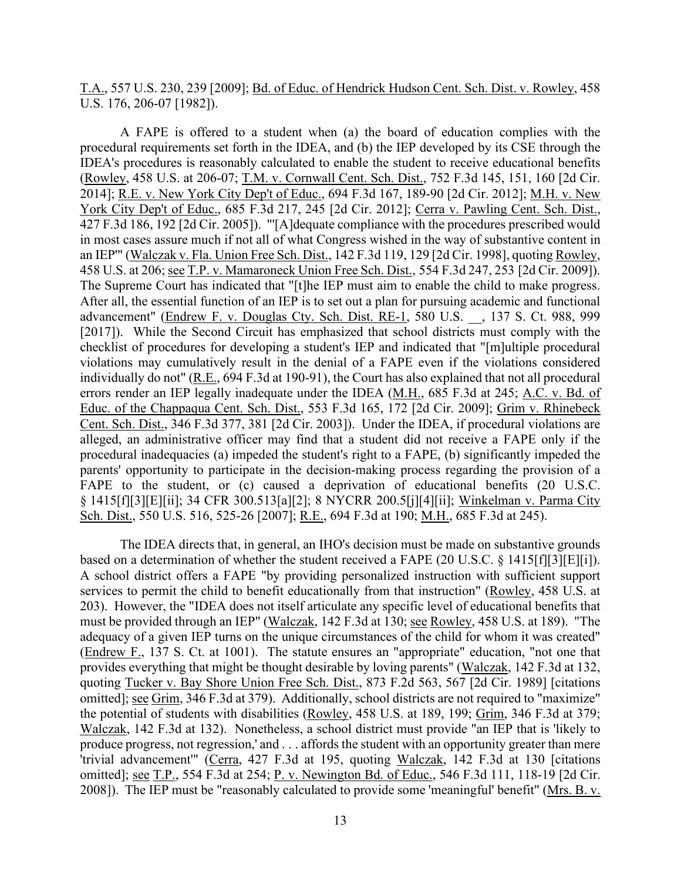T.A., 557 U.S. 230, 239 [2009]; Bd. of Educ. of Hendrick Hudson Cent. Sch. Dist. v. Rowley, 458 U.S. 176, 206-07 [1982]).

 A FAPE is offered to a student when (a) the board of education complies with the 2014]; <u>R.E. v. New York City Dep't of Educ.</u>, 694 F.3d 167, 189-90 [2d Cir. 2012]; <u>M.H. v. New</u> 458 U.S. at 206; see T.P. v. Mamaroneck Union Free Sch. Dist., 554 F.3d 247, 253 [2d Cir. 2009]). errors render an IEP legally inadequate under the IDEA (M.H., 685 F.3d at 245; A.C. v. Bd. of parents' opportunity to participate in the decision-making process regarding the provision of a procedural requirements set forth in the IDEA, and (b) the IEP developed by its CSE through the IDEA's procedures is reasonably calculated to enable the student to receive educational benefits (Rowley, 458 U.S. at 206-07; T.M. v. Cornwall Cent. Sch. Dist., 752 F.3d 145, 151, 160 [2d Cir. York City Dep't of Educ., 685 F.3d 217, 245 [2d Cir. 2012]; Cerra v. Pawling Cent. Sch. Dist., 427 F.3d 186, 192 [2d Cir. 2005]). "'[A]dequate compliance with the procedures prescribed would in most cases assure much if not all of what Congress wished in the way of substantive content in an IEP'" (Walczak v. Fla. Union Free Sch. Dist., 142 F.3d 119, 129 [2d Cir. 1998], quoting Rowley, 458 U.S. at 206; <u>see T.P. v. Mamaroneck Union Free Sch. Dist.</u>, 554 F.3d 247, 253 [2d Cir. 2009]). The Supreme Court has indicated that "[t]he IEP must aim to enable the child to make progress. After all, the essential fu advancement" (Endrew F. v. Douglas Cty. Sch. Dist. RE-1, 580 U.S. , 137 S. Ct. 988, 999 [2017]). While the Second Circuit has emphasized that school districts must comply with the checklist of procedures for developing a student's IEP and indicated that "[m]ultiple procedural violations may cumulatively result in the denial of a FAPE even if the violations considered individually do not" (R.E., 694 F.3d at 190-91), the Court has also explained that not all procedural Educ. of the Chappaqua Cent. Sch. Dist., 553 F.3d 165, 172 [2d Cir. 2009]; Grim v. Rhinebeck Cent. Sch. Dist., 346 F.3d 377, 381 [2d Cir. 2003]). Under the IDEA, if procedural violations are alleged, an administrative officer may find that a student did not receive a FAPE only if the procedural inadequacies (a) impeded the student's right to a FAPE, (b) significantly impeded the FAPE to the student, or (c) caused a deprivation of educational benefits (20 U.S.C. § 1415[f][3][E][ii]; 34 CFR 300.513[a][2]; 8 NYCRR 200.5[j][4][ii]; Winkelman v. Parma City Sch. Dist., 550 U.S. 516, 525-26 [2007]; R.E., 694 F.3d at 190; M.H., 685 F.3d at 245).

based on a determination of whether the student received a FAPE  $(20 \text{ U.S.C. } 8 \text{ 1415}[\text{f}][3][\text{E}][i])$ . adequacy of a given IEP turns on the unique circumstances of the child for whom it was created" produce progress, not regression,' and . . . affords the student with an opportunity greater than mere The IDEA directs that, in general, an IHO's decision must be made on substantive grounds A school district offers a FAPE "by providing personalized instruction with sufficient support services to permit the child to benefit educationally from that instruction" (Rowley, 458 U.S. at 203). However, the "IDEA does not itself articulate any specific level of educational benefits that must be provided through an IEP" (Walczak, 142 F.3d at 130; see Rowley, 458 U.S. at 189). "The (Endrew F., 137 S. Ct. at 1001). The statute ensures an "appropriate" education, "not one that provides everything that might be thought desirable by loving parents" (Walczak, 142 F.3d at 132, quoting Tucker v. Bay Shore Union Free Sch. Dist., 873 F.2d 563, 567 [2d Cir. 1989] [citations omitted]; see Grim, 346 F.3d at 379). Additionally, school districts are not required to "maximize" the potential of students with disabilities (Rowley, 458 U.S. at 189, 199; Grim, 346 F.3d at 379; Walczak, 142 F.3d at 132). Nonetheless, a school district must provide "an IEP that is 'likely to 'trivial advancement'" (Cerra, 427 F.3d at 195, quoting Walczak, 142 F.3d at 130 [citations omitted]; <u>see T.P.</u>, 554 F.3d at 254; P. v. Newington Bd. of Educ., 546 F.3d 111, 118-19 [2d Cir. 2008]). The IEP must be "reasonably calculated to provide some 'meaningful' benefit" (Mrs. B. v.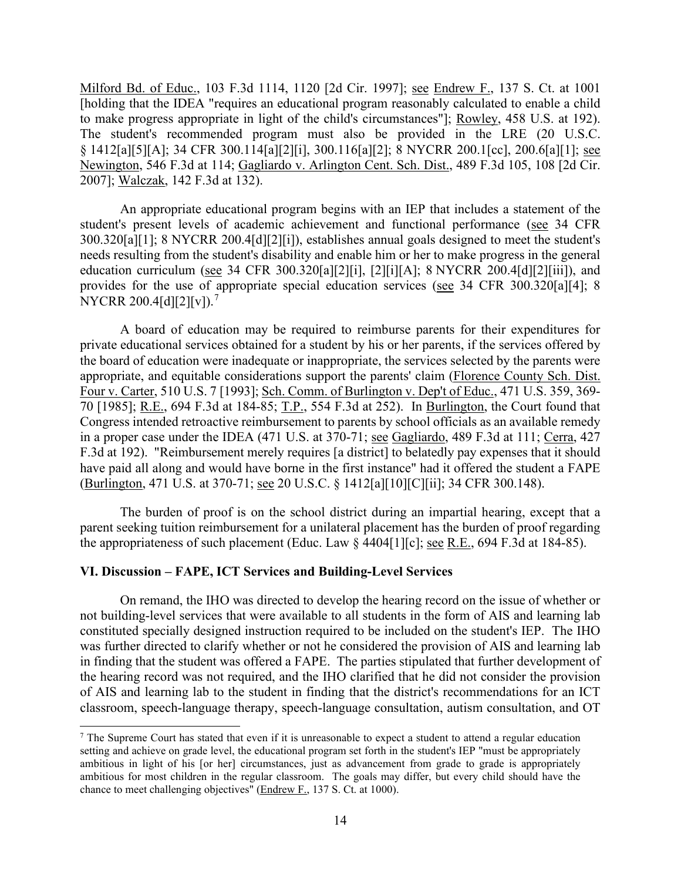Milford Bd. of Educ., 103 F.3d 1114, 1120 [2d Cir. 1997]; see Endrew F., 137 S. Ct. at 1001 [holding that the IDEA "requires an educational program reasonably calculated to enable a child to make progress appropriate in light of the child's circumstances"]; Rowley, 458 U.S. at 192). The student's recommended program must also be provided in the LRE (20 U.S.C. § 1412[a][5][A]; 34 CFR 300.114[a][2][i], 300.116[a][2]; 8 NYCRR 200.1[cc], 200.6[a][1]; see Newington, 546 F.3d at 114; Gagliardo v. Arlington Cent. Sch. Dist., 489 F.3d 105, 108 [2d Cir. 2007]; Walczak, 142 F.3d at 132).

An appropriate educational program begins with an IEP that includes a statement of the student's present levels of academic achievement and functional performance (see 34 CFR 300.320[a][1]; 8 NYCRR 200.4[d][2][i]), establishes annual goals designed to meet the student's needs resulting from the student's disability and enable him or her to make progress in the general education curriculum (see 34 CFR 300.320[a][2][i], [2][i][A]; 8 NYCRR 200.4[d][2][iii]), and provides for the use of appropriate special education services (see 34 CFR 300.320[a][4]; 8 NYCRR 200.4[d][2][v]).<sup>7</sup>

70 [1985]; R.E., 694 F.3d at 184-85; T.P., 554 F.3d at 252). In Burlington, the Court found that in a proper case under the IDEA (471 U.S. at 370-71; see Gagliardo, 489 F.3d at 111; Cerra, 427 (Burlington, 471 U.S. at 370-71; <u>see</u> 20 U.S.C. § 1412[a][10][C][ii]; 34 CFR 300.148). A board of education may be required to reimburse parents for their expenditures for private educational services obtained for a student by his or her parents, if the services offered by the board of education were inadequate or inappropriate, the services selected by the parents were appropriate, and equitable considerations support the parents' claim (Florence County Sch. Dist. Four v. Carter, 510 U.S. 7 [1993]; Sch. Comm. of Burlington v. Dep't of Educ., 471 U.S. 359, 369- Congress intended retroactive reimbursement to parents by school officials as an available remedy F.3d at 192). "Reimbursement merely requires [a district] to belatedly pay expenses that it should have paid all along and would have borne in the first instance" had it offered the student a FAPE

the appropriateness of such placement (Educ. Law  $\S$  4404[1][c]; <u>see R.E.</u>, 694 F.3d at 184-85). The burden of proof is on the school district during an impartial hearing, except that a parent seeking tuition reimbursement for a unilateral placement has the burden of proof regarding

#### **VI. Discussion – FAPE, ICT Services and Building-Level Services**

 On remand, the IHO was directed to develop the hearing record on the issue of whether or not building-level services that were available to all students in the form of AIS and learning lab constituted specially designed instruction required to be included on the student's IEP. The IHO was further directed to clarify whether or not he considered the provision of AIS and learning lab in finding that the student was offered a FAPE. The parties stipulated that further development of the hearing record was not required, and the IHO clarified that he did not consider the provision of AIS and learning lab to the student in finding that the district's recommendations for an ICT classroom, speech-language therapy, speech-language consultation, autism consultation, and OT

<span id="page-13-0"></span> ambitious in light of his [or her] circumstances, just as advancement from grade to grade is appropriately  $<sup>7</sup>$  The Supreme Court has stated that even if it is unreasonable to expect a student to attend a regular education</sup> setting and achieve on grade level, the educational program set forth in the student's IEP "must be appropriately ambitious for most children in the regular classroom. The goals may differ, but every child should have the chance to meet challenging objectives" (Endrew F., 137 S. Ct. at 1000).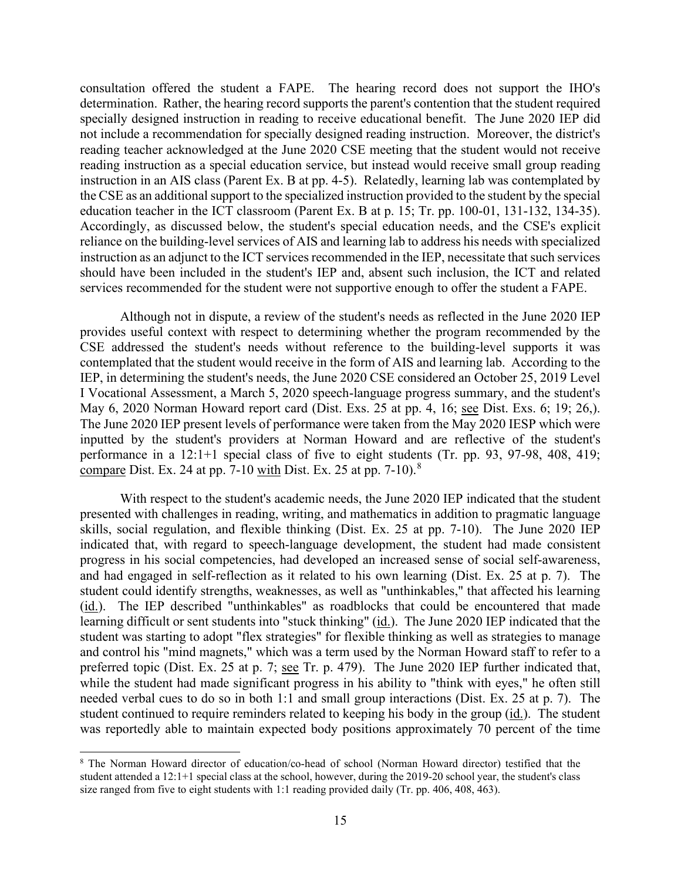consultation offered the student a FAPE. The hearing record does not support the IHO's instruction in an AIS class (Parent Ex. B at pp. 4-5). Relatedly, learning lab was contemplated by education teacher in the ICT classroom (Parent Ex. B at p. 15; Tr. pp. 100-01, 131-132, 134-35). reliance on the building-level services of AIS and learning lab to address his needs with specialized should have been included in the student's IEP and, absent such inclusion, the ICT and related determination. Rather, the hearing record supports the parent's contention that the student required specially designed instruction in reading to receive educational benefit. The June 2020 IEP did not include a recommendation for specially designed reading instruction. Moreover, the district's reading teacher acknowledged at the June 2020 CSE meeting that the student would not receive reading instruction as a special education service, but instead would receive small group reading the CSE as an additional support to the specialized instruction provided to the student by the special Accordingly, as discussed below, the student's special education needs, and the CSE's explicit instruction as an adjunct to the ICT services recommended in the IEP, necessitate that such services services recommended for the student were not supportive enough to offer the student a FAPE.

 provides useful context with respect to determining whether the program recommended by the contemplated that the student would receive in the form of AIS and learning lab. According to the May 6, 2020 Norman Howard report card (Dist. Exs. 25 at pp. 4, 16; see Dist. Exs. 6; 19; 26,). Although not in dispute, a review of the student's needs as reflected in the June 2020 IEP CSE addressed the student's needs without reference to the building-level supports it was IEP, in determining the student's needs, the June 2020 CSE considered an October 25, 2019 Level I Vocational Assessment, a March 5, 2020 speech-language progress summary, and the student's The June 2020 IEP present levels of performance were taken from the May 2020 IESP which were inputted by the student's providers at Norman Howard and are reflective of the student's performance in a 12:1+1 special class of five to eight students (Tr. pp. 93, 97-98, 408, 419; compare Dist. Ex. 24 at pp. 7-10 with Dist. Ex. 25 at pp. 7-10).<sup>[8](#page-14-0)</sup>

 skills, social regulation, and flexible thinking (Dist. Ex. 25 at pp. 7-10). The June 2020 IEP and had engaged in self-reflection as it related to his own learning (Dist. Ex. 25 at p. 7). The student could identify strengths, weaknesses, as well as "unthinkables," that affected his learning (id.). The IEP described "unthinkables" as roadblocks that could be encountered that made preferred topic (Dist. Ex. 25 at p. 7; see Tr. p. 479). The June 2020 IEP further indicated that, while the student had made significant progress in his ability to "think with eyes," he often still student continued to require reminders related to keeping his body in the group (id.). The student With respect to the student's academic needs, the June 2020 IEP indicated that the student presented with challenges in reading, writing, and mathematics in addition to pragmatic language indicated that, with regard to speech-language development, the student had made consistent progress in his social competencies, had developed an increased sense of social self-awareness, learning difficult or sent students into "stuck thinking" (id.). The June 2020 IEP indicated that the student was starting to adopt "flex strategies" for flexible thinking as well as strategies to manage and control his "mind magnets," which was a term used by the Norman Howard staff to refer to a needed verbal cues to do so in both 1:1 and small group interactions (Dist. Ex. 25 at p. 7). The was reportedly able to maintain expected body positions approximately 70 percent of the time

<span id="page-14-0"></span><sup>8</sup> The Norman Howard director of education/co-head of school (Norman Howard director) testified that the student attended a 12:1+1 special class at the school, however, during the 2019-20 school year, the student's class size ranged from five to eight students with 1:1 reading provided daily (Tr. pp. 406, 408, 463).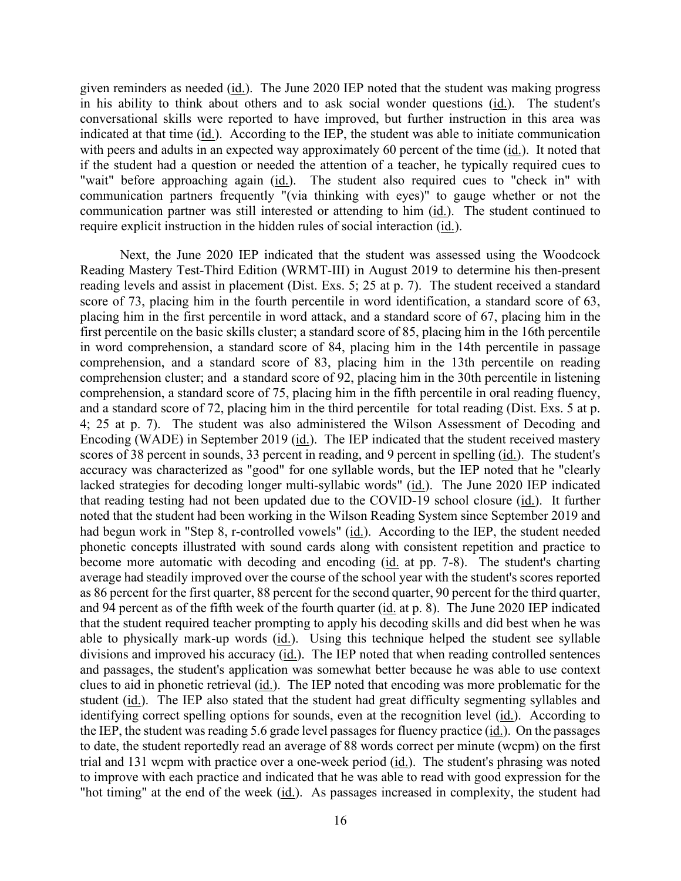given reminders as needed (*id.*). The June 2020 IEP noted that the student was making progress in his ability to think about others and to ask social wonder questions (*id.*). The student's with peers and adults in an expected way approximately 60 percent of the time (id.). It noted that if the student had a question or needed the attention of a teacher, he typically required cues to "wait" before approaching again (id.). The student also required cues to "check in" with communication partner was still interested or attending to him (id.). The student continued to require explicit instruction in the hidden rules of social interaction (*id.*). conversational skills were reported to have improved, but further instruction in this area was indicated at that time  $(i_d)$ . According to the IEP, the student was able to initiate communication communication partners frequently "(via thinking with eyes)" to gauge whether or not the

 first percentile on the basic skills cluster; a standard score of 85, placing him in the 16th percentile in word comprehension, a standard score of 84, placing him in the 14th percentile in passage comprehension, and a standard score of 83, placing him in the 13th percentile on reading comprehension cluster; and a standard score of 92, placing him in the 30th percentile in listening and a standard score of 72, placing him in the third percentile for total reading (Dist. Exs. 5 at p. that reading testing had not been updated due to the COVID-19 school closure (*id.*). It further had begun work in "Step 8, r-controlled vowels" (id.). According to the IEP, the student needed become more automatic with decoding and encoding (id. at pp. 7-8). The student's charting that the student required teacher prompting to apply his decoding skills and did best when he was divisions and improved his accuracy (id.). The IEP noted that when reading controlled sentences clues to aid in phonetic retrieval (id.). The IEP noted that encoding was more problematic for the student (id.). The IEP also stated that the student had great difficulty segmenting syllables and identifying correct spelling options for sounds, even at the recognition level (id.). According to the IEP, the student was reading 5.6 grade level passages for fluency practice (id.). On the passages Next, the June 2020 IEP indicated that the student was assessed using the Woodcock Reading Mastery Test-Third Edition (WRMT-III) in August 2019 to determine his then-present reading levels and assist in placement (Dist. Exs. 5; 25 at p. 7). The student received a standard score of 73, placing him in the fourth percentile in word identification, a standard score of 63, placing him in the first percentile in word attack, and a standard score of 67, placing him in the comprehension, a standard score of 75, placing him in the fifth percentile in oral reading fluency, 4; 25 at p. 7). The student was also administered the Wilson Assessment of Decoding and Encoding (WADE) in September 2019 (id.). The IEP indicated that the student received mastery scores of 38 percent in sounds, 33 percent in reading, and 9 percent in spelling (id.). The student's accuracy was characterized as "good" for one syllable words, but the IEP noted that he "clearly lacked strategies for decoding longer multi-syllabic words" (id.). The June 2020 IEP indicated noted that the student had been working in the Wilson Reading System since September 2019 and phonetic concepts illustrated with sound cards along with consistent repetition and practice to average had steadily improved over the course of the school year with the student's scores reported as 86 percent for the first quarter, 88 percent for the second quarter, 90 percent for the third quarter, and 94 percent as of the fifth week of the fourth quarter (id. at p. 8). The June 2020 IEP indicated able to physically mark-up words  $(id.)$ . Using this technique helped the student see syllable and passages, the student's application was somewhat better because he was able to use context to date, the student reportedly read an average of 88 words correct per minute (wcpm) on the first trial and 131 wcpm with practice over a one-week period (id.). The student's phrasing was noted to improve with each practice and indicated that he was able to read with good expression for the "hot timing" at the end of the week (id.). As passages increased in complexity, the student had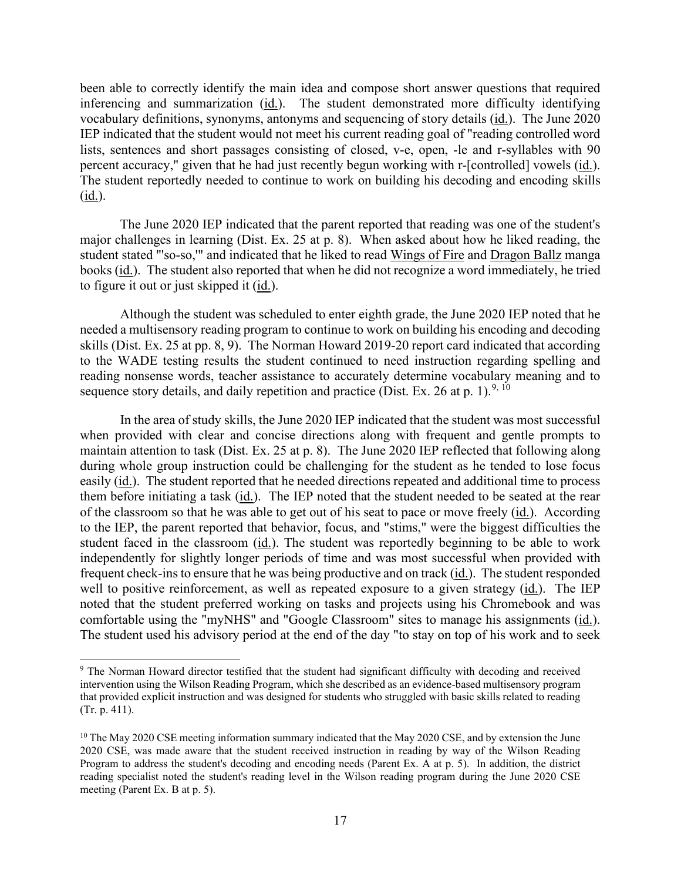vocabulary definitions, synonyms, antonyms and sequencing of story details (*id.*). The June 2020 percent accuracy," given that he had just recently begun working with r-[controlled] vowels (id.). been able to correctly identify the main idea and compose short answer questions that required inferencing and summarization (id.). The student demonstrated more difficulty identifying IEP indicated that the student would not meet his current reading goal of "reading controlled word lists, sentences and short passages consisting of closed, v-e, open, -le and r-syllables with 90 The student reportedly needed to continue to work on building his decoding and encoding skills  $(id.)$ .

 major challenges in learning (Dist. Ex. 25 at p. 8). When asked about how he liked reading, the books (id.). The student also reported that when he did not recognize a word immediately, he tried to figure it out or just skipped it (*id.*). The June 2020 IEP indicated that the parent reported that reading was one of the student's student stated "'so-so,'" and indicated that he liked to read Wings of Fire and Dragon Ballz manga

 Although the student was scheduled to enter eighth grade, the June 2020 IEP noted that he reading nonsense words, teacher assistance to accurately determine vocabulary meaning and to sequence story details, and daily repetition and practice (Dist. Ex. 26 at p. 1).<sup>[9](#page-16-0), [10](#page-16-1)</sup> needed a multisensory reading program to continue to work on building his encoding and decoding skills (Dist. Ex. 25 at pp. 8, 9). The Norman Howard 2019-20 report card indicated that according to the WADE testing results the student continued to need instruction regarding spelling and

 maintain attention to task (Dist. Ex. 25 at p. 8). The June 2020 IEP reflected that following along easily (id.). The student reported that he needed directions repeated and additional time to process them before initiating a task (id.). The IEP noted that the student needed to be seated at the rear of the classroom so that he was able to get out of his seat to pace or move freely (*id.*). According frequent check-ins to ensure that he was being productive and on track (id.). The student responded well to positive reinforcement, as well as repeated exposure to a given strategy (id.). The IEP noted that the student preferred working on tasks and projects using his Chromebook and was comfortable using the "myNHS" and "Google Classroom" sites to manage his assignments (id.). The student used his advisory period at the end of the day "to stay on top of his work and to seek In the area of study skills, the June 2020 IEP indicated that the student was most successful when provided with clear and concise directions along with frequent and gentle prompts to during whole group instruction could be challenging for the student as he tended to lose focus to the IEP, the parent reported that behavior, focus, and "stims," were the biggest difficulties the student faced in the classroom (id.). The student was reportedly beginning to be able to work independently for slightly longer periods of time and was most successful when provided with

<span id="page-16-0"></span><sup>9</sup> The Norman Howard director testified that the student had significant difficulty with decoding and received intervention using the Wilson Reading Program, which she described as an evidence-based multisensory program that provided explicit instruction and was designed for students who struggled with basic skills related to reading (Tr. p. 411).

<span id="page-16-1"></span> Program to address the student's decoding and encoding needs (Parent Ex. A at p. 5). In addition, the district  $10$  The May 2020 CSE meeting information summary indicated that the May 2020 CSE, and by extension the June 2020 CSE, was made aware that the student received instruction in reading by way of the Wilson Reading reading specialist noted the student's reading level in the Wilson reading program during the June 2020 CSE meeting (Parent Ex. B at p. 5).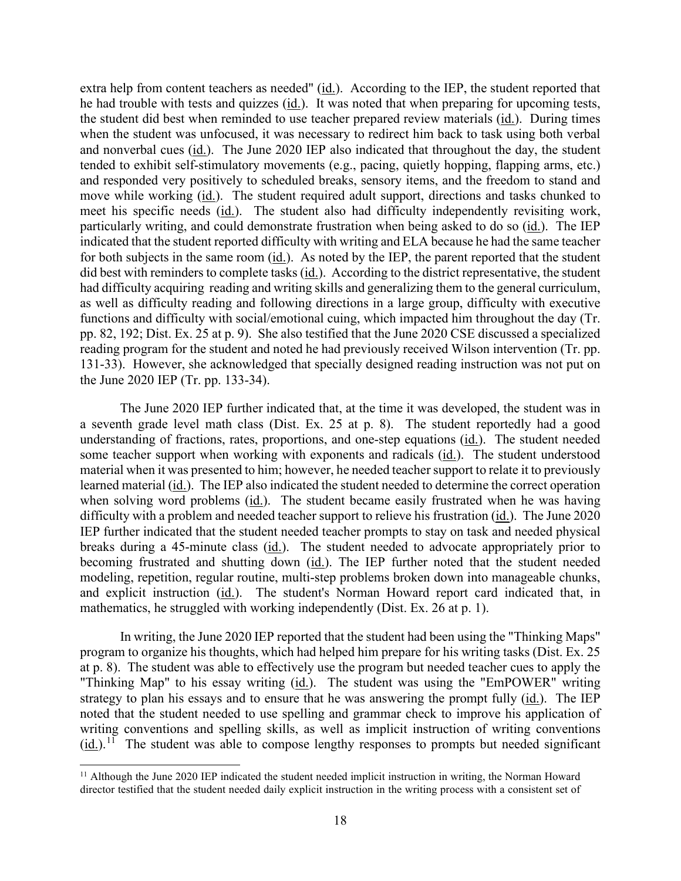he had trouble with tests and quizzes (id.). It was noted that when preparing for upcoming tests, the student did best when reminded to use teacher prepared review materials (id.). During times and nonverbal cues (id.). The June 2020 IEP also indicated that throughout the day, the student move while working (id.). The student required adult support, directions and tasks chunked to meet his specific needs (id.). The student also had difficulty independently revisiting work, particularly writing, and could demonstrate frustration when being asked to do so (id.). The IEP for both subjects in the same room  $(id)$ . As noted by the IEP, the parent reported that the student did best with reminders to complete tasks (id.). According to the district representative, the student pp. 82, 192; Dist. Ex. 25 at p. 9). She also testified that the June 2020 CSE discussed a specialized extra help from content teachers as needed" (id.). According to the IEP, the student reported that when the student was unfocused, it was necessary to redirect him back to task using both verbal tended to exhibit self-stimulatory movements (e.g., pacing, quietly hopping, flapping arms, etc.) and responded very positively to scheduled breaks, sensory items, and the freedom to stand and indicated that the student reported difficulty with writing and ELA because he had the same teacher had difficulty acquiring reading and writing skills and generalizing them to the general curriculum, as well as difficulty reading and following directions in a large group, difficulty with executive functions and difficulty with social/emotional cuing, which impacted him throughout the day (Tr. reading program for the student and noted he had previously received Wilson intervention (Tr. pp. 131-33). However, she acknowledged that specially designed reading instruction was not put on the June 2020 IEP (Tr. pp. 133-34).

understanding of fractions, rates, proportions, and one-step equations (id.). The student needed some teacher support when working with exponents and radicals (id.). The student understood learned material (id.). The IEP also indicated the student needed to determine the correct operation when solving word problems (id.). The student became easily frustrated when he was having difficulty with a problem and needed teacher support to relieve his frustration (id.). The June 2020 IEP further indicated that the student needed teacher prompts to stay on task and needed physical breaks during a 45-minute class (id.). The student needed to advocate appropriately prior to modeling, repetition, regular routine, multi-step problems broken down into manageable chunks, and explicit instruction (id.). The student's Norman Howard report card indicated that, in The June 2020 IEP further indicated that, at the time it was developed, the student was in a seventh grade level math class (Dist. Ex. 25 at p. 8). The student reportedly had a good material when it was presented to him; however, he needed teacher support to relate it to previously becoming frustrated and shutting down (id.). The IEP further noted that the student needed mathematics, he struggled with working independently (Dist. Ex. 26 at p. 1).

 at p. 8). The student was able to effectively use the program but needed teacher cues to apply the "Thinking Map" to his essay writing (*id.*). The student was using the "EmPOWER" writing strategy to plan his essays and to ensure that he was answering the prompt fully (id.). The IEP writing conventions and spelling skills, as well as implicit instruction of writing conventions  $(id.)$ <sup>[11](#page-17-0)</sup> The student was able to compose lengthy responses to prompts but needed significant In writing, the June 2020 IEP reported that the student had been using the "Thinking Maps" program to organize his thoughts, which had helped him prepare for his writing tasks (Dist. Ex. 25 noted that the student needed to use spelling and grammar check to improve his application of

<span id="page-17-0"></span><sup>&</sup>lt;sup>11</sup> Although the June 2020 IEP indicated the student needed implicit instruction in writing, the Norman Howard director testified that the student needed daily explicit instruction in the writing process with a consistent set of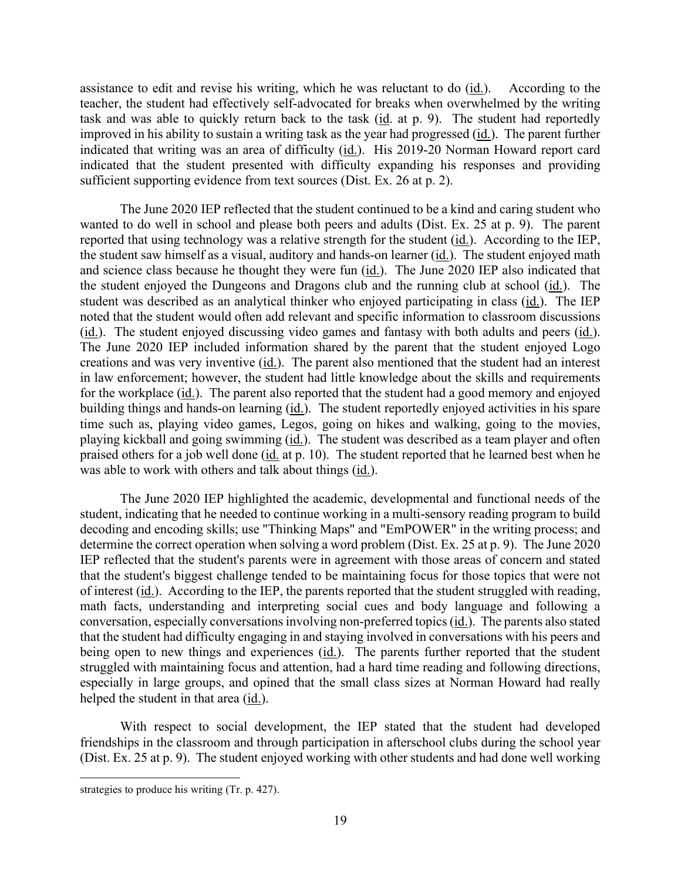assistance to edit and revise his writing, which he was reluctant to do (*id.*). According to the task and was able to quickly return back to the task (id. at p. 9). The student had reportedly improved in his ability to sustain a writing task as the year had progressed (*id.*). The parent further indicated that writing was an area of difficulty (id.). His 2019-20 Norman Howard report card teacher, the student had effectively self-advocated for breaks when overwhelmed by the writing indicated that the student presented with difficulty expanding his responses and providing sufficient supporting evidence from text sources (Dist. Ex. 26 at p. 2).

reported that using technology was a relative strength for the student (id.). According to the IEP, the student saw himself as a visual, auditory and hands-on learner (*id.*). The student enjoyed math and science class because he thought they were fun (id.). The June 2020 IEP also indicated that the student enjoyed the Dungeons and Dragons club and the running club at school (id.). The student was described as an analytical thinker who enjoyed participating in class (id.). The IEP noted that the student would often add relevant and specific information to classroom discussions (id.). The student enjoyed discussing video games and fantasy with both adults and peers (id.). creations and was very inventive  $(id.)$ . The parent also mentioned that the student had an interest for the workplace (*id.*). The parent also reported that the student had a good memory and enjoyed building things and hands-on learning (id.). The student reportedly enjoyed activities in his spare time such as, playing video games, Legos, going on hikes and walking, going to the movies, playing kickball and going swimming (id.). The student was described as a team player and often praised others for a job well done (id. at p. 10). The student reported that he learned best when he was able to work with others and talk about things (id.). The June 2020 IEP reflected that the student continued to be a kind and caring student who wanted to do well in school and please both peers and adults (Dist. Ex. 25 at p. 9). The parent The June 2020 IEP included information shared by the parent that the student enjoyed Logo in law enforcement; however, the student had little knowledge about the skills and requirements

 student, indicating that he needed to continue working in a multi-sensory reading program to build that the student's biggest challenge tended to be maintaining focus for those topics that were not of interest (id.). According to the IEP, the parents reported that the student struggled with reading, conversation, especially conversations involving non-preferred topics (id.). The parents also stated helped the student in that area (id.). The June 2020 IEP highlighted the academic, developmental and functional needs of the decoding and encoding skills; use "Thinking Maps" and "EmPOWER" in the writing process; and determine the correct operation when solving a word problem (Dist. Ex. 25 at p. 9). The June 2020 IEP reflected that the student's parents were in agreement with those areas of concern and stated math facts, understanding and interpreting social cues and body language and following a that the student had difficulty engaging in and staying involved in conversations with his peers and being open to new things and experiences (id.). The parents further reported that the student struggled with maintaining focus and attention, had a hard time reading and following directions, especially in large groups, and opined that the small class sizes at Norman Howard had really

With respect to social development, the IEP stated that the student had developed friendships in the classroom and through participation in afterschool clubs during the school year (Dist. Ex. 25 at p. 9). The student enjoyed working with other students and had done well working

strategies to produce his writing (Tr. p. 427).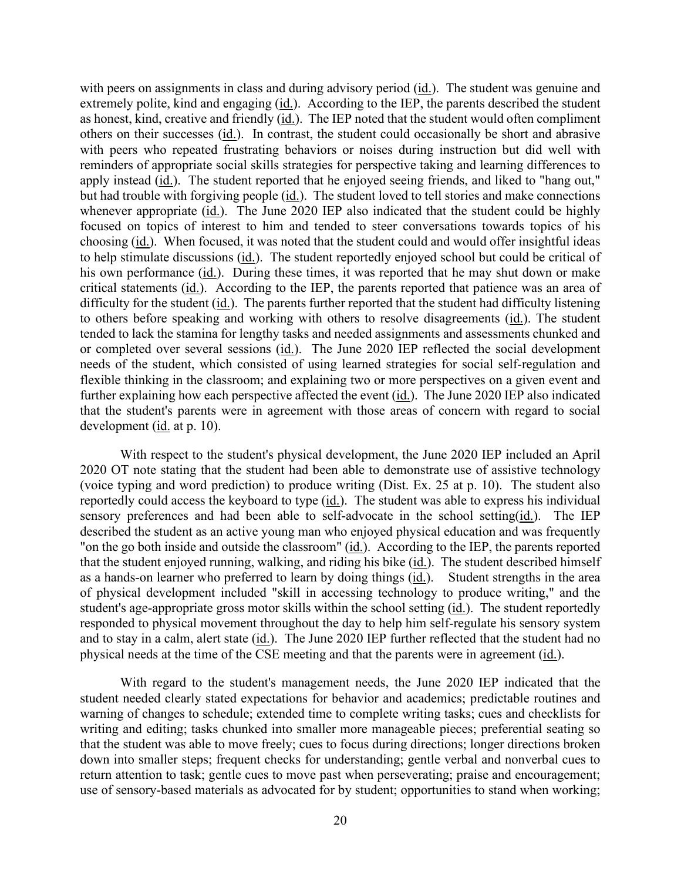with peers on assignments in class and during advisory period (id.). The student was genuine and extremely polite, kind and engaging (id.). According to the IEP, the parents described the student as honest, kind, creative and friendly (*id.*). The IEP noted that the student would often compliment others on their successes  $(id.)$ . In contrast, the student could occasionally be short and abrasive reminders of appropriate social skills strategies for perspective taking and learning differences to apply instead (id.). The student reported that he enjoyed seeing friends, and liked to "hang out," but had trouble with forgiving people (*id.*). The student loved to tell stories and make connections choosing (id.). When focused, it was noted that the student could and would offer insightful ideas to help stimulate discussions (id.). The student reportedly enjoyed school but could be critical of his own performance (*id.*). During these times, it was reported that he may shut down or make critical statements (id.). According to the IEP, the parents reported that patience was an area of difficulty for the student (*id.*). The parents further reported that the student had difficulty listening to others before speaking and working with others to resolve disagreements (*id.*). The student or completed over several sessions (id.). The June 2020 IEP reflected the social development further explaining how each perspective affected the event (id.). The June 2020 IEP also indicated that the student's parents were in agreement with those areas of concern with regard to social development (id. at p. 10). with peers who repeated frustrating behaviors or noises during instruction but did well with whenever appropriate  $(id)$ . The June 2020 IEP also indicated that the student could be highly focused on topics of interest to him and tended to steer conversations towards topics of his tended to lack the stamina for lengthy tasks and needed assignments and assessments chunked and needs of the student, which consisted of using learned strategies for social self-regulation and flexible thinking in the classroom; and explaining two or more perspectives on a given event and

reportedly could access the keyboard to type (*id.*). The student was able to express his individual sensory preferences and had been able to self-advocate in the school setting(id.). The IEP that the student enjoyed running, walking, and riding his bike (id.). The student described himself as a hands-on learner who preferred to learn by doing things (*id.*). Student strengths in the area student's age-appropriate gross motor skills within the school setting (*id.*). The student reportedly and to stay in a calm, alert state (id.). The June 2020 IEP further reflected that the student had no physical needs at the time of the CSE meeting and that the parents were in agreement (id.). With respect to the student's physical development, the June 2020 IEP included an April 2020 OT note stating that the student had been able to demonstrate use of assistive technology (voice typing and word prediction) to produce writing (Dist. Ex. 25 at p. 10). The student also described the student as an active young man who enjoyed physical education and was frequently "on the go both inside and outside the classroom" (id.). According to the IEP, the parents reported of physical development included "skill in accessing technology to produce writing," and the responded to physical movement throughout the day to help him self-regulate his sensory system

With regard to the student's management needs, the June 2020 IEP indicated that the student needed clearly stated expectations for behavior and academics; predictable routines and warning of changes to schedule; extended time to complete writing tasks; cues and checklists for writing and editing; tasks chunked into smaller more manageable pieces; preferential seating so that the student was able to move freely; cues to focus during directions; longer directions broken down into smaller steps; frequent checks for understanding; gentle verbal and nonverbal cues to return attention to task; gentle cues to move past when perseverating; praise and encouragement; use of sensory-based materials as advocated for by student; opportunities to stand when working;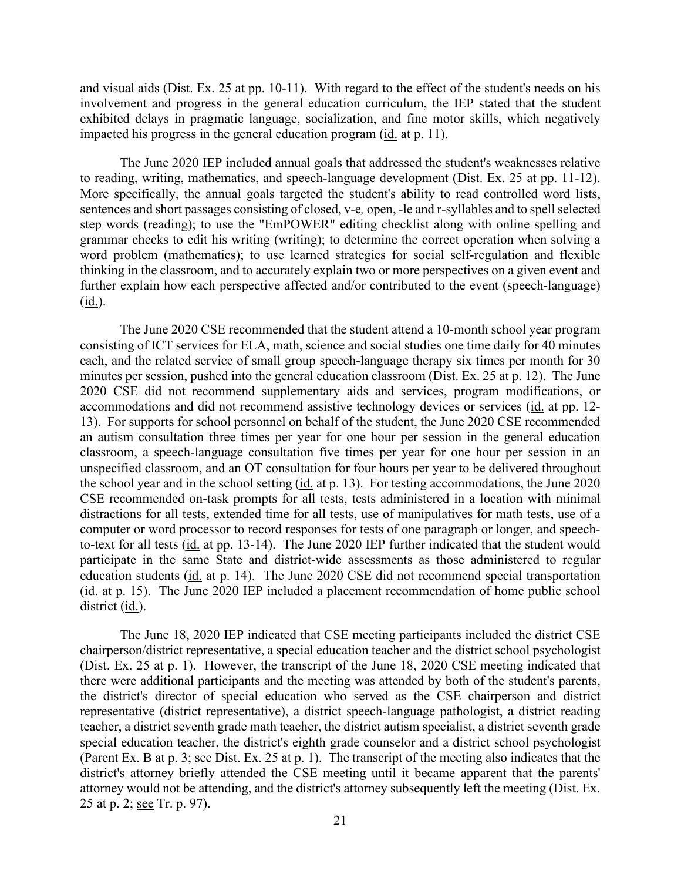and visual aids (Dist. Ex. 25 at pp. 10-11). With regard to the effect of the student's needs on his impacted his progress in the general education program (*id.* at p. 11). involvement and progress in the general education curriculum, the IEP stated that the student exhibited delays in pragmatic language, socialization, and fine motor skills, which negatively

 word problem (mathematics); to use learned strategies for social self-regulation and flexible thinking in the classroom, and to accurately explain two or more perspectives on a given event and The June 2020 IEP included annual goals that addressed the student's weaknesses relative to reading, writing, mathematics, and speech-language development (Dist. Ex. 25 at pp. 11-12). More specifically, the annual goals targeted the student's ability to read controlled word lists, sentences and short passages consisting of closed, v-e*,* open, -le and r-syllables and to spell selected step words (reading); to use the "EmPOWER" editing checklist along with online spelling and grammar checks to edit his writing (writing); to determine the correct operation when solving a further explain how each perspective affected and/or contributed to the event (speech-language) (id.).

 2020 CSE did not recommend supplementary aids and services, program modifications, or an autism consultation three times per year for one hour per session in the general education classroom, a speech-language consultation five times per year for one hour per session in an to-text for all tests (id. at pp. 13-14). The June 2020 IEP further indicated that the student would participate in the same State and district-wide assessments as those administered to regular The June 2020 CSE recommended that the student attend a 10-month school year program consisting of ICT services for ELA, math, science and social studies one time daily for 40 minutes each, and the related service of small group speech-language therapy six times per month for 30 minutes per session, pushed into the general education classroom (Dist. Ex. 25 at p. 12). The June accommodations and did not recommend assistive technology devices or services (id. at pp. 12- 13). For supports for school personnel on behalf of the student, the June 2020 CSE recommended unspecified classroom, and an OT consultation for four hours per year to be delivered throughout the school year and in the school setting (id. at p. 13). For testing accommodations, the June 2020 CSE recommended on-task prompts for all tests, tests administered in a location with minimal distractions for all tests, extended time for all tests, use of manipulatives for math tests, use of a computer or word processor to record responses for tests of one paragraph or longer, and speecheducation students (id. at p. 14). The June 2020 CSE did not recommend special transportation (id. at p. 15). The June 2020 IEP included a placement recommendation of home public school district (id.).

25 at p. 2; <u>see</u> Tr. p. 97). The June 18, 2020 IEP indicated that CSE meeting participants included the district CSE chairperson/district representative, a special education teacher and the district school psychologist (Dist. Ex. 25 at p. 1). However, the transcript of the June 18, 2020 CSE meeting indicated that there were additional participants and the meeting was attended by both of the student's parents, the district's director of special education who served as the CSE chairperson and district representative (district representative), a district speech-language pathologist, a district reading teacher, a district seventh grade math teacher, the district autism specialist, a district seventh grade special education teacher, the district's eighth grade counselor and a district school psychologist (Parent Ex. B at p. 3; see Dist. Ex. 25 at p. 1). The transcript of the meeting also indicates that the district's attorney briefly attended the CSE meeting until it became apparent that the parents' attorney would not be attending, and the district's attorney subsequently left the meeting (Dist. Ex.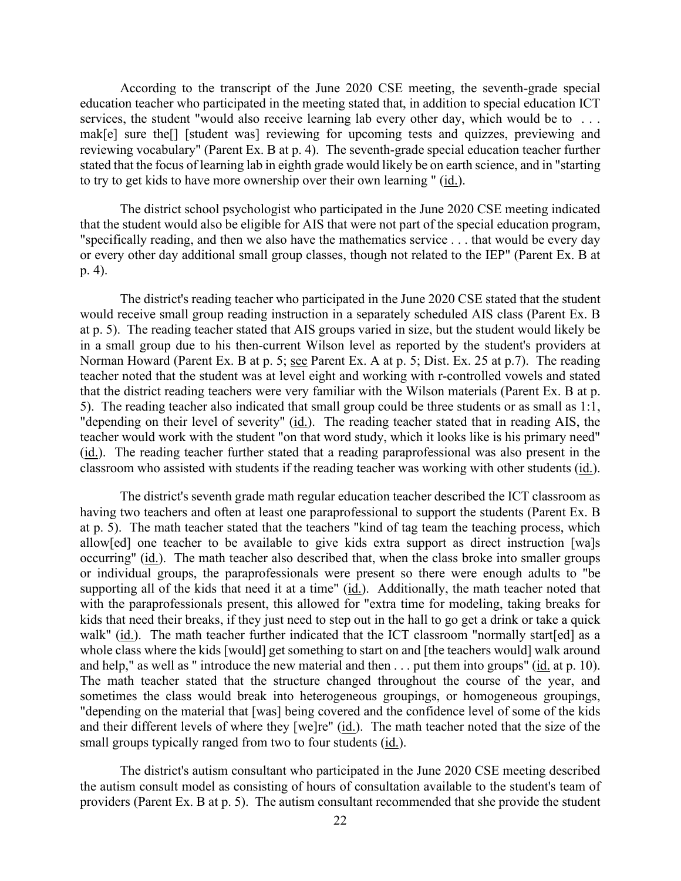reviewing vocabulary" (Parent Ex. B at p. 4). The seventh-grade special education teacher further According to the transcript of the June 2020 CSE meeting, the seventh-grade special education teacher who participated in the meeting stated that, in addition to special education ICT services, the student "would also receive learning lab every other day, which would be to ... mak[e] sure the[] [student was] reviewing for upcoming tests and quizzes, previewing and stated that the focus of learning lab in eighth grade would likely be on earth science, and in "starting to try to get kids to have more ownership over their own learning " (id.).

 that the student would also be eligible for AIS that were not part of the special education program, The district school psychologist who participated in the June 2020 CSE meeting indicated "specifically reading, and then we also have the mathematics service . . . that would be every day or every other day additional small group classes, though not related to the IEP" (Parent Ex. B at p. 4).

 in a small group due to his then-current Wilson level as reported by the student's providers at The district's reading teacher who participated in the June 2020 CSE stated that the student would receive small group reading instruction in a separately scheduled AIS class (Parent Ex. B at p. 5). The reading teacher stated that AIS groups varied in size, but the student would likely be Norman Howard (Parent Ex. B at p. 5; see Parent Ex. A at p. 5; Dist. Ex. 25 at p.7). The reading teacher noted that the student was at level eight and working with r-controlled vowels and stated that the district reading teachers were very familiar with the Wilson materials (Parent Ex. B at p. 5). The reading teacher also indicated that small group could be three students or as small as 1:1, "depending on their level of severity" (id.). The reading teacher stated that in reading AIS, the teacher would work with the student "on that word study, which it looks like is his primary need" (id.). The reading teacher further stated that a reading paraprofessional was also present in the classroom who assisted with students if the reading teacher was working with other students (id.).

walk" (*id.*). The math teacher further indicated that the ICT classroom "normally start[ed] as a The district's seventh grade math regular education teacher described the ICT classroom as having two teachers and often at least one paraprofessional to support the students (Parent Ex. B at p. 5). The math teacher stated that the teachers "kind of tag team the teaching process, which allow[ed] one teacher to be available to give kids extra support as direct instruction [wa]s occurring" (id.). The math teacher also described that, when the class broke into smaller groups or individual groups, the paraprofessionals were present so there were enough adults to "be supporting all of the kids that need it at a time" (id.). Additionally, the math teacher noted that with the paraprofessionals present, this allowed for "extra time for modeling, taking breaks for kids that need their breaks, if they just need to step out in the hall to go get a drink or take a quick whole class where the kids [would] get something to start on and [the teachers would] walk around and help," as well as " introduce the new material and then . . . put them into groups" (id. at p. 10). The math teacher stated that the structure changed throughout the course of the year, and sometimes the class would break into heterogeneous groupings, or homogeneous groupings, "depending on the material that [was] being covered and the confidence level of some of the kids and their different levels of where they [we]re" (id.). The math teacher noted that the size of the small groups typically ranged from two to four students (id.).

The district's autism consultant who participated in the June 2020 CSE meeting described the autism consult model as consisting of hours of consultation available to the student's team of providers (Parent Ex. B at p. 5). The autism consultant recommended that she provide the student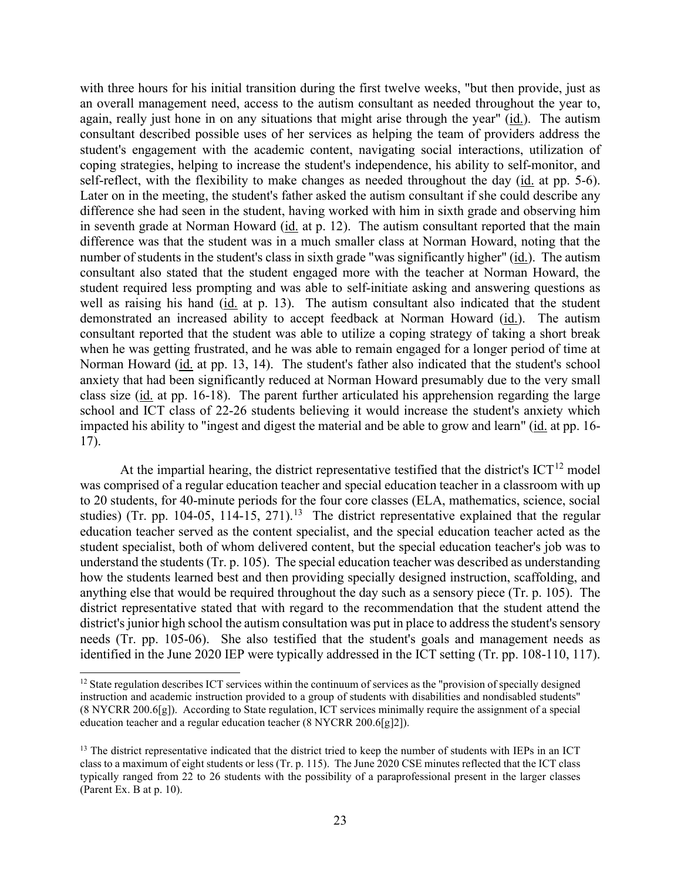difference was that the student was in a much smaller class at Norman Howard, noting that the student required less prompting and was able to self-initiate asking and answering questions as demonstrated an increased ability to accept feedback at Norman Howard (*id.*). The autism with three hours for his initial transition during the first twelve weeks, "but then provide, just as an overall management need, access to the autism consultant as needed throughout the year to, again, really just hone in on any situations that might arise through the year" (id.). The autism consultant described possible uses of her services as helping the team of providers address the student's engagement with the academic content, navigating social interactions, utilization of coping strategies, helping to increase the student's independence, his ability to self-monitor, and self-reflect, with the flexibility to make changes as needed throughout the day (id. at pp. 5-6). Later on in the meeting, the student's father asked the autism consultant if she could describe any difference she had seen in the student, having worked with him in sixth grade and observing him in seventh grade at Norman Howard (id. at p. 12). The autism consultant reported that the main number of students in the student's class in sixth grade "was significantly higher" (id.). The autism consultant also stated that the student engaged more with the teacher at Norman Howard, the well as raising his hand (id. at p. 13). The autism consultant also indicated that the student consultant reported that the student was able to utilize a coping strategy of taking a short break when he was getting frustrated, and he was able to remain engaged for a longer period of time at Norman Howard (id. at pp. 13, 14). The student's father also indicated that the student's school anxiety that had been significantly reduced at Norman Howard presumably due to the very small class size (id. at pp. 16-18). The parent further articulated his apprehension regarding the large school and ICT class of 22-26 students believing it would increase the student's anxiety which impacted his ability to "ingest and digest the material and be able to grow and learn" (id. at pp. 16- 17).

At the impartial hearing, the district representative testified that the district's  $\text{ICT}^{12}$  $\text{ICT}^{12}$  $\text{ICT}^{12}$  model was comprised of a regular education teacher and special education teacher in a classroom with up studies) (Tr. pp. 104-05, 114-15, 271).<sup>[13](#page-22-1)</sup> The district representative explained that the regular education teacher served as the content specialist, and the special education teacher acted as the district representative stated that with regard to the recommendation that the student attend the identified in the June 2020 IEP were typically addressed in the ICT setting (Tr. pp. 108-110, 117).<br>
<sup>12</sup> State regulation describes ICT services within the continuum of services as the "provision of specially designed to 20 students, for 40-minute periods for the four core classes (ELA, mathematics, science, social student specialist, both of whom delivered content, but the special education teacher's job was to understand the students (Tr. p. 105). The special education teacher was described as understanding how the students learned best and then providing specially designed instruction, scaffolding, and anything else that would be required throughout the day such as a sensory piece (Tr. p. 105). The district's junior high school the autism consultation was put in place to address the student's sensory needs (Tr. pp. 105-06). She also testified that the student's goals and management needs as

<span id="page-22-0"></span>instruction and academic instruction provided to a group of students with disabilities and nondisabled students" (8 NYCRR 200.6[g]). According to State regulation, ICT services minimally require the assignment of a special education teacher and a regular education teacher (8 NYCRR 200.6[g]2]).

<span id="page-22-1"></span><sup>&</sup>lt;sup>13</sup> The district representative indicated that the district tried to keep the number of students with IEPs in an ICT class to a maximum of eight students or less (Tr. p. 115). The June 2020 CSE minutes reflected that the ICT class typically ranged from 22 to 26 students with the possibility of a paraprofessional present in the larger classes (Parent Ex. B at p. 10).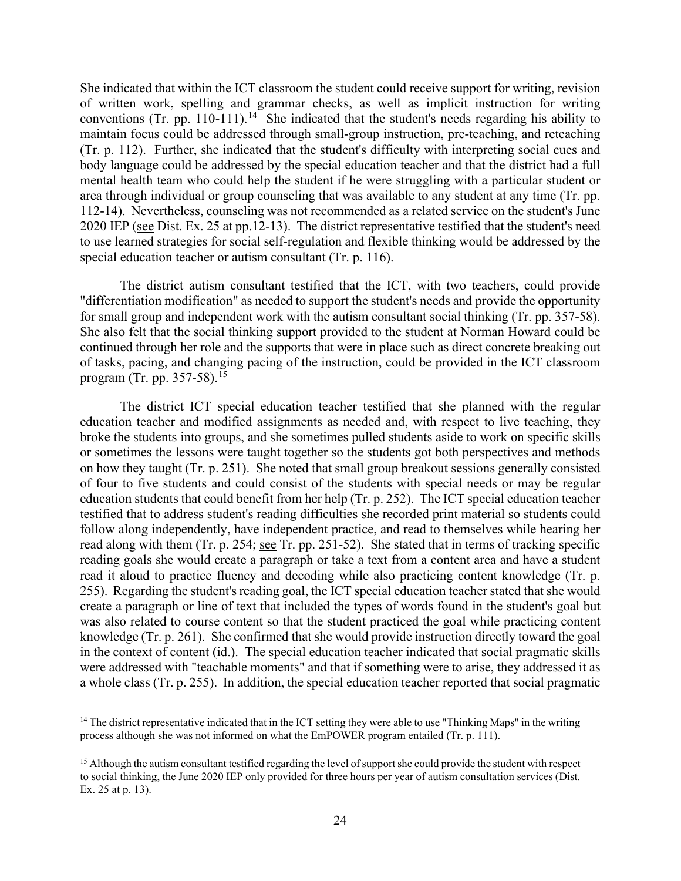She indicated that within the ICT classroom the student could receive support for writing, revision conventions (Tr. pp. 110-111).<sup>[14](#page-23-0)</sup> She indicated that the student's needs regarding his ability to (Tr. p. 112). Further, she indicated that the student's difficulty with interpreting social cues and area through individual or group counseling that was available to any student at any time (Tr. pp. 112-14). Nevertheless, counseling was not recommended as a related service on the student's June of written work, spelling and grammar checks, as well as implicit instruction for writing maintain focus could be addressed through small-group instruction, pre-teaching, and reteaching body language could be addressed by the special education teacher and that the district had a full mental health team who could help the student if he were struggling with a particular student or 2020 IEP (see Dist. Ex. 25 at pp.12-13). The district representative testified that the student's need to use learned strategies for social self-regulation and flexible thinking would be addressed by the special education teacher or autism consultant (Tr. p. 116).

The district autism consultant testified that the ICT, with two teachers, could provide "differentiation modification" as needed to support the student's needs and provide the opportunity for small group and independent work with the autism consultant social thinking (Tr. pp. 357-58). She also felt that the social thinking support provided to the student at Norman Howard could be continued through her role and the supports that were in place such as direct concrete breaking out of tasks, pacing, and changing pacing of the instruction, could be provided in the ICT classroom program (Tr. pp. 357-58).<sup>15</sup>

 education students that could benefit from her help (Tr. p. 252). The ICT special education teacher reading goals she would create a paragraph or take a text from a content area and have a student a whole class (Tr. p. 255). In addition, the special education teacher reported that social pragmatic The district ICT special education teacher testified that she planned with the regular education teacher and modified assignments as needed and, with respect to live teaching, they broke the students into groups, and she sometimes pulled students aside to work on specific skills or sometimes the lessons were taught together so the students got both perspectives and methods on how they taught (Tr. p. 251). She noted that small group breakout sessions generally consisted of four to five students and could consist of the students with special needs or may be regular testified that to address student's reading difficulties she recorded print material so students could follow along independently, have independent practice, and read to themselves while hearing her read along with them (Tr. p. 254; <u>see</u> Tr. pp. 251-52). She stated that in terms of tracking specific read it aloud to practice fluency and decoding while also practicing content knowledge (Tr. p. 255). Regarding the student's reading goal, the ICT special education teacher stated that she would create a paragraph or line of text that included the types of words found in the student's goal but was also related to course content so that the student practiced the goal while practicing content knowledge (Tr. p. 261). She confirmed that she would provide instruction directly toward the goal in the context of content (id.). The special education teacher indicated that social pragmatic skills were addressed with "teachable moments" and that if something were to arise, they addressed it as

<span id="page-23-0"></span><sup>&</sup>lt;sup>14</sup> The district representative indicated that in the ICT setting they were able to use "Thinking Maps" in the writing process although she was not informed on what the EmPOWER program entailed (Tr. p. 111).

<span id="page-23-1"></span> to social thinking, the June 2020 IEP only provided for three hours per year of autism consultation services (Dist.  $15$  Although the autism consultant testified regarding the level of support she could provide the student with respect Ex. 25 at p. 13).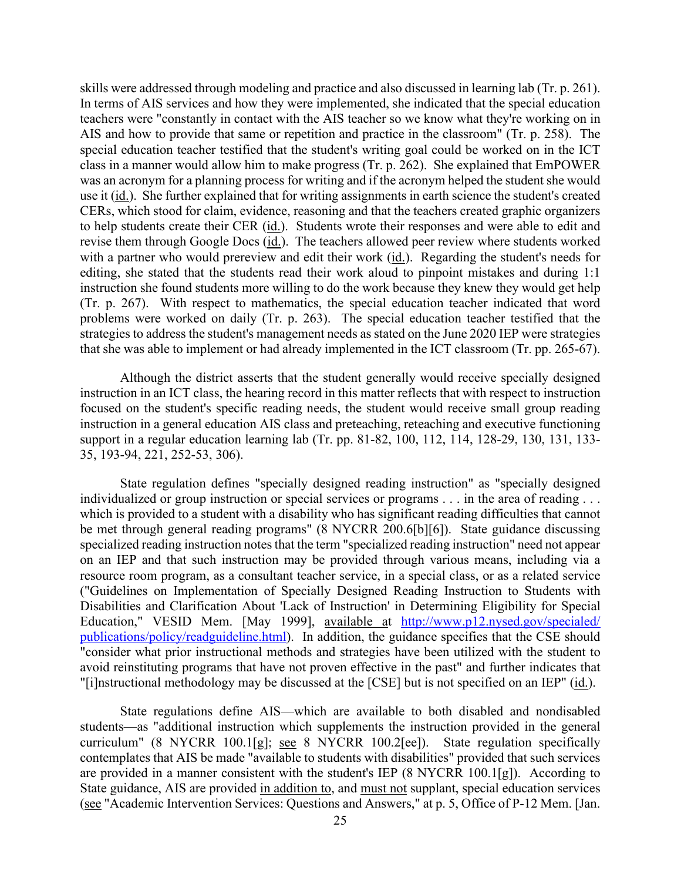In terms of AIS services and how they were implemented, she indicated that the special education class in a manner would allow him to make progress (Tr. p. 262). She explained that EmPOWER CERs, which stood for claim, evidence, reasoning and that the teachers created graphic organizers to help students create their CER (id.). Students wrote their responses and were able to edit and with a partner who would prereview and edit their work (id.). Regarding the student's needs for (Tr. p. 267). With respect to mathematics, the special education teacher indicated that word skills were addressed through modeling and practice and also discussed in learning lab (Tr. p. 261). teachers were "constantly in contact with the AIS teacher so we know what they're working on in AIS and how to provide that same or repetition and practice in the classroom" (Tr. p. 258). The special education teacher testified that the student's writing goal could be worked on in the ICT was an acronym for a planning process for writing and if the acronym helped the student she would use it (id.). She further explained that for writing assignments in earth science the student's created revise them through Google Docs (id.). The teachers allowed peer review where students worked editing, she stated that the students read their work aloud to pinpoint mistakes and during 1:1 instruction she found students more willing to do the work because they knew they would get help problems were worked on daily (Tr. p. 263). The special education teacher testified that the strategies to address the student's management needs as stated on the June 2020 IEP were strategies that she was able to implement or had already implemented in the ICT classroom (Tr. pp. 265-67).

 focused on the student's specific reading needs, the student would receive small group reading 35, 193-94, 221, 252-53, 306). Although the district asserts that the student generally would receive specially designed instruction in an ICT class, the hearing record in this matter reflects that with respect to instruction instruction in a general education AIS class and preteaching, reteaching and executive functioning support in a regular education learning lab (Tr. pp. 81-82, 100, 112, 114, 128-29, 130, 131, 133-

State regulation defines "specially designed reading instruction" as "specially designed individualized or group instruction or special services or programs . . . in the area of reading . . . which is provided to a student with a disability who has significant reading difficulties that cannot be met through general reading programs" (8 NYCRR 200.6[b][6]). State guidance discussing specialized reading instruction notes that the term "specialized reading instruction" need not appear on an IEP and that such instruction may be provided through various means, including via a resource room program, as a consultant teacher service, in a special class, or as a related service ("Guidelines on Implementation of Specially Designed Reading Instruction to Students with Disabilities and Clarification About 'Lack of Instruction' in Determining Eligibility for Special Education," VESID Mem. [May 1999], available at [http://www.p12.nysed.gov/specialed/](http://www.p12.nysed.gov/specialed/publications/policy/readguideline.html)  [publications/policy/readguideline.html\)](http://www.p12.nysed.gov/specialed/publications/policy/readguideline.html). In addition, the guidance specifies that the CSE should "consider what prior instructional methods and strategies have been utilized with the student to avoid reinstituting programs that have not proven effective in the past" and further indicates that "[i]nstructional methodology may be discussed at the [CSE] but is not specified on an IEP" (id.).

State guidance, AIS are provided in addition to, and must not supplant, special education services State regulations define AIS—which are available to both disabled and nondisabled students—as "additional instruction which supplements the instruction provided in the general curriculum" (8 NYCRR 100.1[g]; see 8 NYCRR 100.2[ee]). State regulation specifically contemplates that AIS be made "available to students with disabilities" provided that such services are provided in a manner consistent with the student's IEP (8 NYCRR 100.1[g]). According to (see "Academic Intervention Services: Questions and Answers," at p. 5, Office of P-12 Mem. [Jan.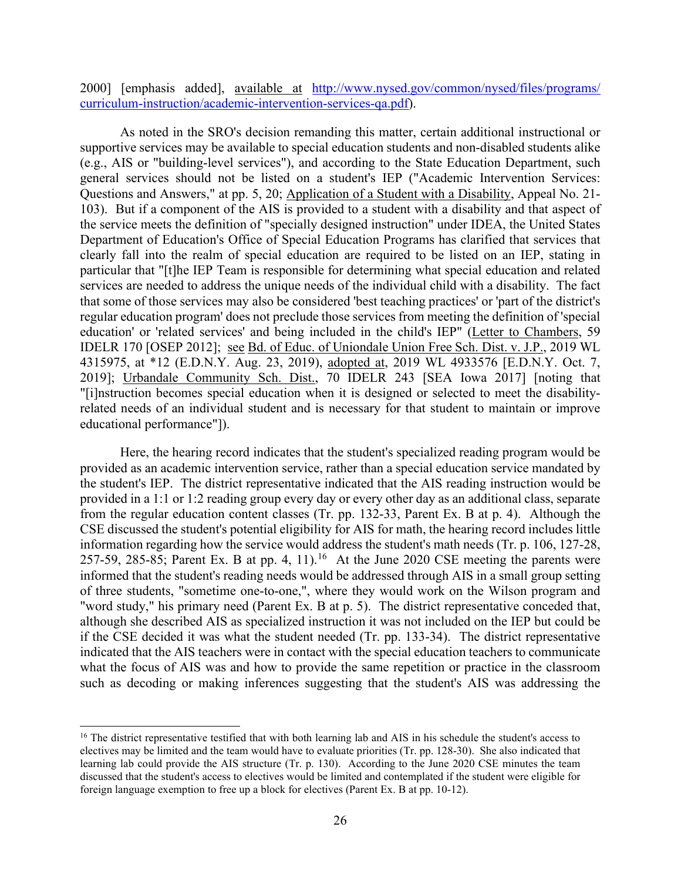2000] [emphasis added], available at [http://www.nysed.gov/common/nysed/files/programs/](http://www.nysed.gov/common/nysed/files/programs/%20curriculum-instruction/academic-intervention-services-qa.pdf)  [curriculum-instruction/academic-intervention-services-qa.pdf\)](http://www.nysed.gov/common/nysed/files/programs/%20curriculum-instruction/academic-intervention-services-qa.pdf).

Questions and Answers," at pp. 5, 20; Application of a Student with a Disability, Appeal No. 21- IDELR 170 [OSEP 2012]; see Bd. of Educ. of Uniondale Union Free Sch. Dist. v. J.P., 2019 WL As noted in the SRO's decision remanding this matter, certain additional instructional or supportive services may be available to special education students and non-disabled students alike (e.g., AIS or "building-level services"), and according to the State Education Department, such general services should not be listed on a student's IEP ("Academic Intervention Services: 103). But if a component of the AIS is provided to a student with a disability and that aspect of the service meets the definition of "specially designed instruction" under IDEA, the United States Department of Education's Office of Special Education Programs has clarified that services that clearly fall into the realm of special education are required to be listed on an IEP, stating in particular that "[t]he IEP Team is responsible for determining what special education and related services are needed to address the unique needs of the individual child with a disability. The fact that some of those services may also be considered 'best teaching practices' or 'part of the district's regular education program' does not preclude those services from meeting the definition of 'special education' or 'related services' and being included in the child's IEP" (Letter to Chambers, 59 4315975, at \*12 (E.D.N.Y. Aug. 23, 2019), adopted at, 2019 WL 4933576 [E.D.N.Y. Oct. 7, 2019]; Urbandale Community Sch. Dist., 70 IDELR 243 [SEA Iowa 2017] [noting that "[i]nstruction becomes special education when it is designed or selected to meet the disabilityrelated needs of an individual student and is necessary for that student to maintain or improve educational performance"]).

 Here, the hearing record indicates that the student's specialized reading program would be provided in a 1:1 or 1:2 reading group every day or every other day as an additional class, separate from the regular education content classes (Tr. pp. 132-33, Parent Ex. B at p. 4). Although the CSE discussed the student's potential eligibility for AIS for math, the hearing record includes little 257-59, 285-85; Parent Ex. B at pp. 4, 11).<sup>[16](#page-25-0)</sup> At the June 2020 CSE meeting the parents were provided as an academic intervention service, rather than a special education service mandated by the student's IEP. The district representative indicated that the AIS reading instruction would be information regarding how the service would address the student's math needs (Tr. p. 106, 127-28, informed that the student's reading needs would be addressed through AIS in a small group setting of three students, "sometime one-to-one,", where they would work on the Wilson program and "word study," his primary need (Parent Ex. B at p. 5). The district representative conceded that, although she described AIS as specialized instruction it was not included on the IEP but could be if the CSE decided it was what the student needed (Tr. pp. 133-34). The district representative indicated that the AIS teachers were in contact with the special education teachers to communicate what the focus of AIS was and how to provide the same repetition or practice in the classroom such as decoding or making inferences suggesting that the student's AIS was addressing the

<span id="page-25-0"></span> electives may be limited and the team would have to evaluate priorities (Tr. pp. 128-30). She also indicated that learning lab could provide the AIS structure (Tr. p. 130). According to the June 2020 CSE minutes the team <sup>16</sup> The district representative testified that with both learning lab and AIS in his schedule the student's access to discussed that the student's access to electives would be limited and contemplated if the student were eligible for foreign language exemption to free up a block for electives (Parent Ex. B at pp. 10-12).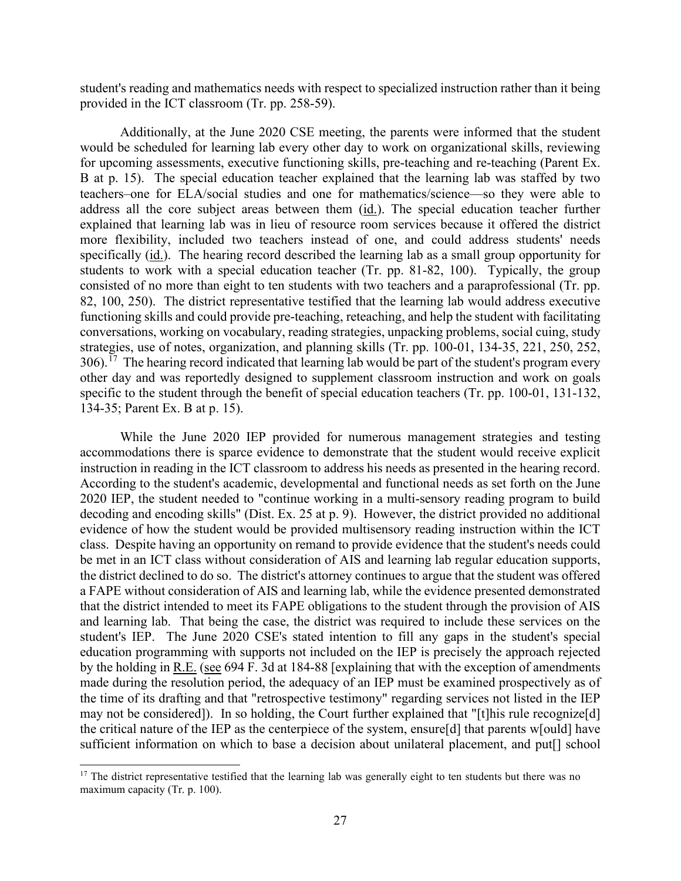student's reading and mathematics needs with respect to specialized instruction rather than it being provided in the ICT classroom (Tr. pp. 258-59).

 students to work with a special education teacher (Tr. pp. 81-82, 100). Typically, the group  $306$ .<sup>17</sup> The hearing record indicated that learning lab would be part of the student's program every Additionally, at the June 2020 CSE meeting, the parents were informed that the student would be scheduled for learning lab every other day to work on organizational skills, reviewing for upcoming assessments, executive functioning skills, pre-teaching and re-teaching (Parent Ex. B at p. 15). The special education teacher explained that the learning lab was staffed by two teachers–one for ELA/social studies and one for mathematics/science—so they were able to address all the core subject areas between them (id.). The special education teacher further explained that learning lab was in lieu of resource room services because it offered the district more flexibility, included two teachers instead of one, and could address students' needs specifically (id.). The hearing record described the learning lab as a small group opportunity for consisted of no more than eight to ten students with two teachers and a paraprofessional (Tr. pp. 82, 100, 250). The district representative testified that the learning lab would address executive functioning skills and could provide pre-teaching, reteaching, and help the student with facilitating conversations, working on vocabulary, reading strategies, unpacking problems, social cuing, study strategies, use of notes, organization, and planning skills (Tr. pp. 100-01, 134-35, 221, 250, 252, other day and was reportedly designed to supplement classroom instruction and work on goals specific to the student through the benefit of special education teachers (Tr. pp. 100-01, 131-132, 134-35; Parent Ex. B at p. 15).

 instruction in reading in the ICT classroom to address his needs as presented in the hearing record. evidence of how the student would be provided multisensory reading instruction within the ICT be met in an ICT class without consideration of AIS and learning lab regular education supports, that the district intended to meet its FAPE obligations to the student through the provision of AIS by the holding in R.E. (see 694 F. 3d at 184-88 [explaining that with the exception of amendments may not be considered]). In so holding, the Court further explained that "[t]his rule recognize[d] While the June 2020 IEP provided for numerous management strategies and testing accommodations there is sparce evidence to demonstrate that the student would receive explicit According to the student's academic, developmental and functional needs as set forth on the June 2020 IEP, the student needed to "continue working in a multi-sensory reading program to build decoding and encoding skills" (Dist. Ex. 25 at p. 9). However, the district provided no additional class. Despite having an opportunity on remand to provide evidence that the student's needs could the district declined to do so. The district's attorney continues to argue that the student was offered a FAPE without consideration of AIS and learning lab, while the evidence presented demonstrated and learning lab. That being the case, the district was required to include these services on the student's IEP. The June 2020 CSE's stated intention to fill any gaps in the student's special education programming with supports not included on the IEP is precisely the approach rejected made during the resolution period, the adequacy of an IEP must be examined prospectively as of the time of its drafting and that "retrospective testimony" regarding services not listed in the IEP the critical nature of the IEP as the centerpiece of the system, ensure[d] that parents w[ould] have sufficient information on which to base a decision about unilateral placement, and put<sup>[]</sup> school

<span id="page-26-0"></span><sup>&</sup>lt;sup>17</sup> The district representative testified that the learning lab was generally eight to ten students but there was no maximum capacity (Tr. p. 100).